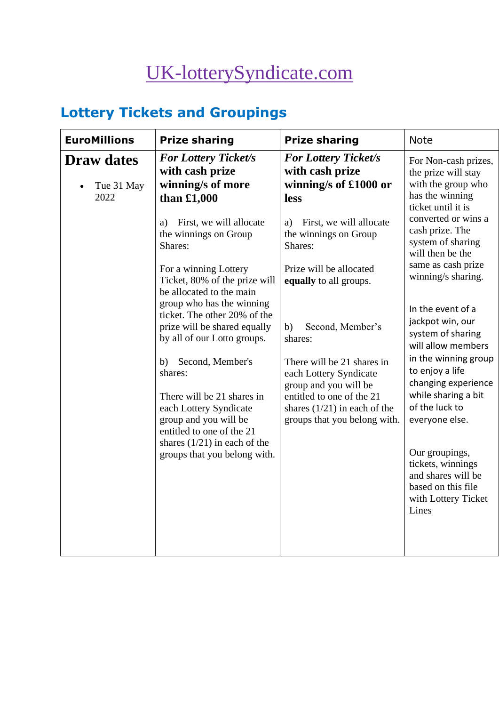# [UK-lotterySyndicate.com](http://www.uk-lotterysyndicate.com/)

# **Lottery Tickets and Groupings**

| <b>EuroMillions</b>                     | <b>Prize sharing</b>                                                                                            | <b>Prize sharing</b>                                                                        | <b>Note</b>                                                                                                                                                                                                                                                                                                                   |
|-----------------------------------------|-----------------------------------------------------------------------------------------------------------------|---------------------------------------------------------------------------------------------|-------------------------------------------------------------------------------------------------------------------------------------------------------------------------------------------------------------------------------------------------------------------------------------------------------------------------------|
| <b>Draw dates</b><br>Tue 31 May<br>2022 | <b>For Lottery Ticket/s</b><br>with cash prize<br>winning/s of more<br>than $£1,000$                            | <b>For Lottery Ticket/s</b><br>with cash prize<br>winning/s of £1000 or<br>less             | For Non-cash prizes,<br>the prize will stay<br>with the group who<br>has the winning<br>ticket until it is<br>converted or wins a<br>cash prize. The<br>system of sharing<br>will then be the<br>same as cash prize<br>winning/s sharing.<br>In the event of a<br>jackpot win, our<br>system of sharing<br>will allow members |
|                                         | First, we will allocate<br>a)<br>the winnings on Group<br>Shares:                                               | First, we will allocate<br>a)<br>the winnings on Group<br>Shares:                           |                                                                                                                                                                                                                                                                                                                               |
|                                         | For a winning Lottery<br>Ticket, 80% of the prize will<br>be allocated to the main<br>group who has the winning | Prize will be allocated<br>equally to all groups.                                           |                                                                                                                                                                                                                                                                                                                               |
|                                         | ticket. The other 20% of the<br>prize will be shared equally<br>by all of our Lotto groups.                     | Second, Member's<br>b)<br>shares:                                                           |                                                                                                                                                                                                                                                                                                                               |
|                                         | Second, Member's<br>b)<br>shares:                                                                               | There will be 21 shares in<br>each Lottery Syndicate<br>group and you will be               | in the winning group<br>to enjoy a life<br>changing experience<br>while sharing a bit                                                                                                                                                                                                                                         |
|                                         | There will be 21 shares in<br>each Lottery Syndicate<br>group and you will be<br>entitled to one of the 21      | entitled to one of the 21<br>shares $(1/21)$ in each of the<br>groups that you belong with. | of the luck to<br>everyone else.                                                                                                                                                                                                                                                                                              |
|                                         | shares $(1/21)$ in each of the<br>groups that you belong with.                                                  |                                                                                             | Our groupings,<br>tickets, winnings<br>and shares will be<br>based on this file<br>with Lottery Ticket<br>Lines                                                                                                                                                                                                               |
|                                         |                                                                                                                 |                                                                                             |                                                                                                                                                                                                                                                                                                                               |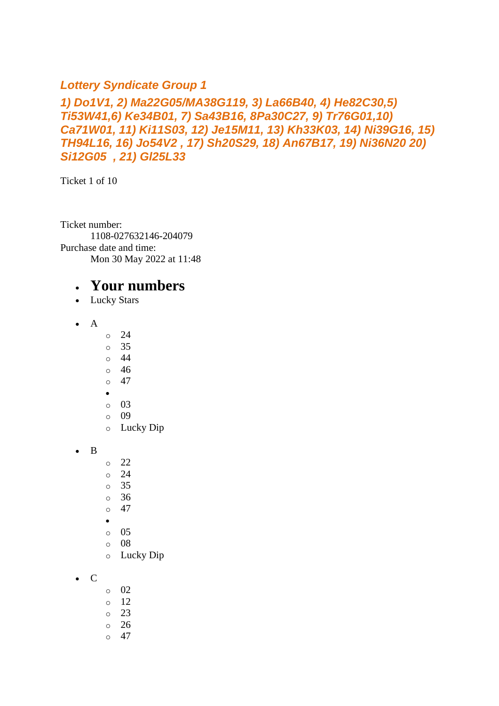#### *Lottery Syndicate Group 1*

#### *1) Do1V1, 2) Ma22G05/MA38G119, 3) La66B40, 4) He82C30,5) Ti53W41,6) Ke34B01, 7) Sa43B16, 8Pa30C27, 9) Tr76G01,10) Ca71W01, 11) Ki11S03, 12) Je15M11, 13) Kh33K03, 14) Ni39G16, 15) TH94L16, 16) Jo54V2 , 17) Sh20S29, 18) An67B17, 19) Ni36N20 20) Si12G05 , 21) Gl25L33*

Ticket 1 of 10

Ticket number: 1108-027632146-204079 Purchase date and time: Mon 30 May 2022 at 11:48

- Lucky Stars
- A
- o 24
- o 35
- o 44
- o 46
- $\circ$  47
- •
- o 03
- o 09 o Lucky Dip
- B
- o 22
- o 24
- o 35
- o 36
- $\circ$  47
- •
- o 05
- o 08
- o Lucky Dip
- C
- o 02
- $\circ$  12
- o 23
- o 26
- $\circ$  47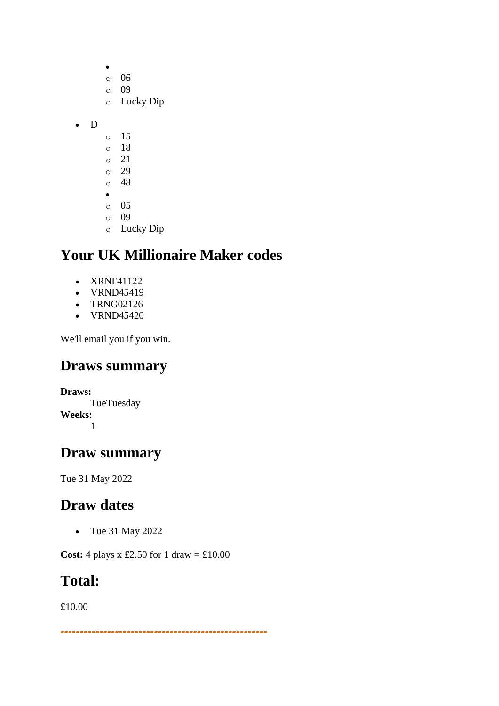- o 06 o 09 o Lucky Dip • D o 15 o 18 o 21 o 29
	- o 48
	- •
	- o 05 o 09
	- o Lucky Dip

- XRNF41122
- VRND45419
- TRNG02126
- VRND45420

We'll email you if you win.

### **Draws summary**

**Draws:** TueTuesday **Weeks:** 1

### **Draw summary**

Tue 31 May 2022

# **Draw dates**

• Tue 31 May 2022

**Cost:** 4 plays x £2.50 for 1 draw =  $\text{\textsterling}10.00$ 

### **Total:**

£10.00

*-----------------------------------------------------*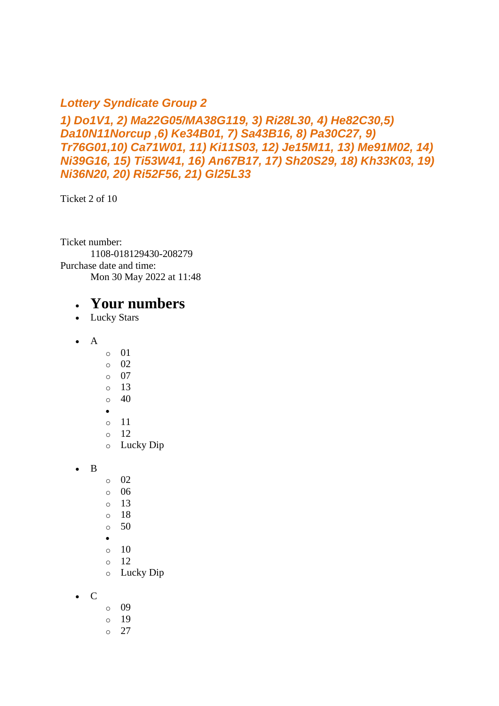#### *Lottery Syndicate Group 2*

*1) Do1V1, 2) Ma22G05/MA38G119, 3) Ri28L30, 4) He82C30,5) Da10N11Norcup ,6) Ke34B01, 7) Sa43B16, 8) Pa30C27, 9) Tr76G01,10) Ca71W01, 11) Ki11S03, 12) Je15M11, 13) Me91M02, 14) Ni39G16, 15) Ti53W41, 16) An67B17, 17) Sh20S29, 18) Kh33K03, 19) Ni36N20, 20) Ri52F56, 21) Gl25L33*

Ticket 2 of 10

Ticket number: 1108-018129430-208279 Purchase date and time: Mon 30 May 2022 at 11:48

- Lucky Stars
- $\bullet$  A
- o 01
- o 02
- o 07
- o 13
- $\circ$  40
- •
- o 11 o 12
- o Lucky Dip
- B
- o 02
- $\circ$  06
- $\circ$  13
- o 18
- $\circ$  50
- •
- o 10 o 12
- o Lucky Dip
- C
- o 09
- o 19
- $\circ$  27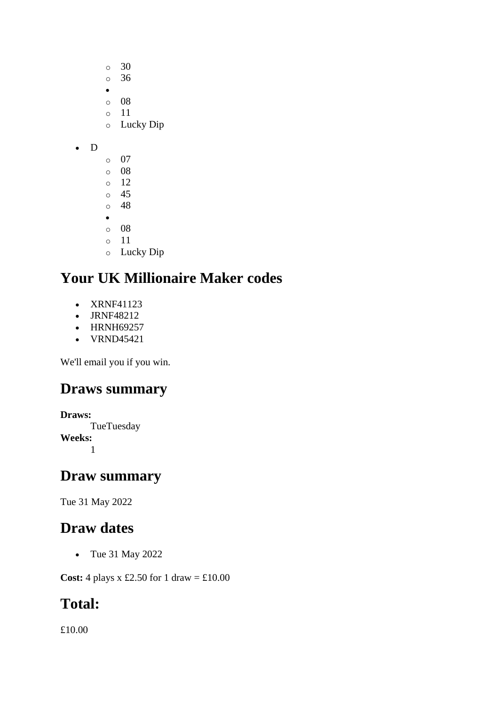o 30 o 36 • o 08 o 11 o Lucky Dip • D o 07 o 08 o 12 o 45 o 48 • o 08 o 11 o Lucky Dip

# **Your UK Millionaire Maker codes**

- XRNF41123
- JRNF48212
- HRNH69257
- VRND45421

We'll email you if you win.

### **Draws summary**

```
Draws:
      TueTuesday
Weeks:
      1
```
### **Draw summary**

Tue 31 May 2022

### **Draw dates**

• Tue 31 May 2022

**Cost:** 4 plays x £2.50 for 1 draw = £10.00

# **Total:**

£10.00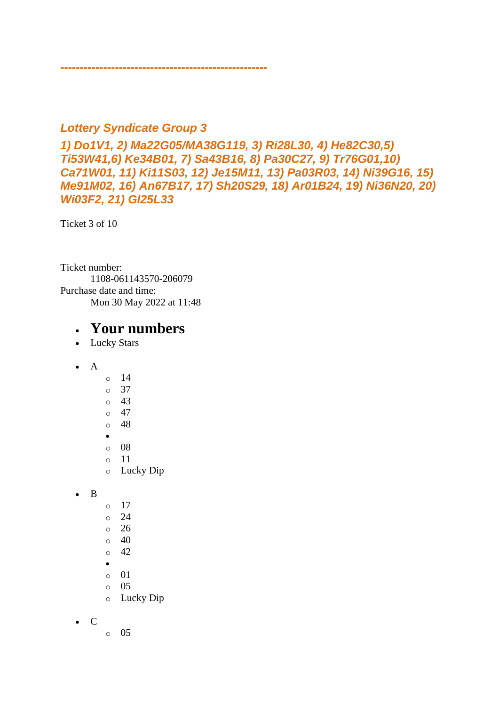#### *Lottery Syndicate Group 3*

*-----------------------------------------------------*

*1) Do1V1, 2) Ma22G05/MA38G119, 3) Ri28L30, 4) He82C30,5) Ti53W41,6) Ke34B01, 7) Sa43B16, 8) Pa30C27, 9) Tr76G01,10) Ca71W01, 11) Ki11S03, 12) Je15M11, 13) Pa03R03, 14) Ni39G16, 15) Me91M02, 16) An67B17, 17) Sh20S29, 18) Ar01B24, 19) Ni36N20, 20) Wi03F2, 21) Gl25L33*

Ticket 3 of 10

Ticket number: 1108-061143570-206079 Purchase date and time: Mon 30 May 2022 at 11:48

- Lucky Stars
- A o 14
	- o 37 o 43  $\circ$  47  $\circ$  48 • o 08 o 11
	- o Lucky Dip
- B
- o 17
- o 24
- o 26
- $\circ$  40
- o 42
- •
- o 01
- o 05
- o Lucky Dip
- C
- o 05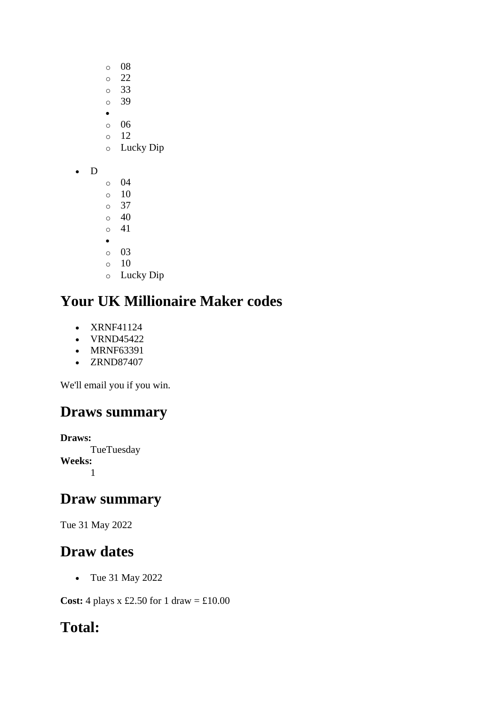- o 08
- o 22
- o 33
- o 39
- o 06
- $\circ$  12
- o Lucky Dip
- D
- o 04 o 10 o 37 o 40 o 41 • o 03 o 10
- o Lucky Dip

- XRNF41124
- VRND45422
- MRNF63391
- ZRND87407

We'll email you if you win.

# **Draws summary**

**Draws: TueTuesday Weeks:** 1

# **Draw summary**

Tue 31 May 2022

# **Draw dates**

• Tue 31 May 2022

**Cost:** 4 plays x £2.50 for 1 draw =  $\text{\textsterling}10.00$ 

# **Total:**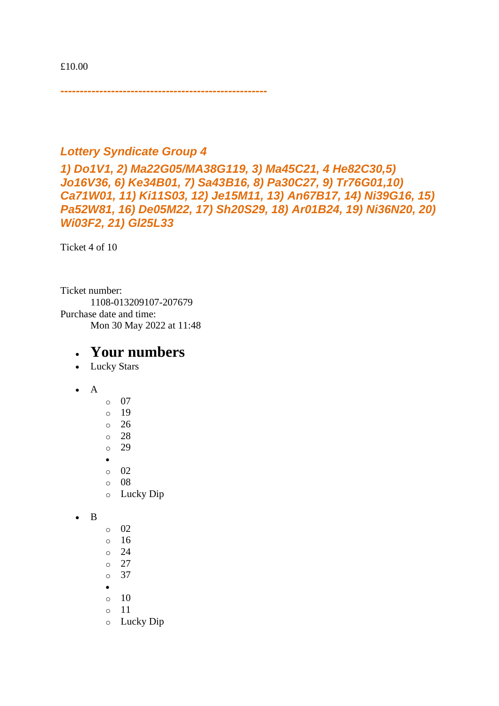£10.00

*-----------------------------------------------------*

#### *Lottery Syndicate Group 4*

*1) Do1V1, 2) Ma22G05/MA38G119, 3) Ma45C21, 4 He82C30,5) Jo16V36, 6) Ke34B01, 7) Sa43B16, 8) Pa30C27, 9) Tr76G01,10) Ca71W01, 11) Ki11S03, 12) Je15M11, 13) An67B17, 14) Ni39G16, 15) Pa52W81, 16) De05M22, 17) Sh20S29, 18) Ar01B24, 19) Ni36N20, 20) Wi03F2, 21) Gl25L33*

Ticket 4 of 10

Ticket number: 1108-013209107-207679 Purchase date and time: Mon 30 May 2022 at 11:48

#### • **Your numbers**

- Lucky Stars
- A
- o 07 o 19 o 26 o 28 o 29 • o 02  $\circ$  08 o Lucky Dip

• B

- o 02
- o 16
- o 24
- o 27
- o 37
- $\circ$  10
- o 11
- o Lucky Dip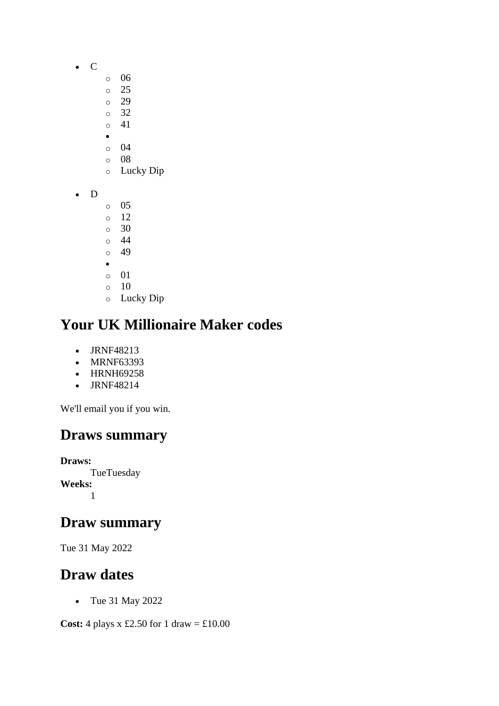- C
- o 06
- o 25
- o 29
- o 32 o 41
- •
- o 04
- o 08
- o Lucky Dip
- D
- o 05
- o 12 o 30
- o 44
- o 49
- •
- o 01
- $\circ$  10
- o Lucky Dip

- JRNF48213
- MRNF63393
- HRNH69258
- JRNF48214

We'll email you if you win.

# **Draws summary**

**Draws: TueTuesday Weeks:** 1

### **Draw summary**

Tue 31 May 2022

### **Draw dates**

• Tue 31 May 2022

**Cost:** 4 plays x £2.50 for 1 draw =  $\text{\pounds}10.00$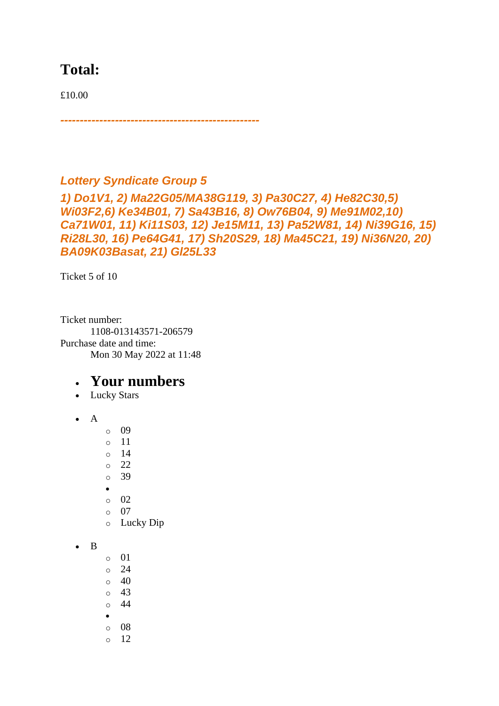### **Total:**

£10.00

# *Lottery Syndicate Group 5*

*---------------------------------------------------*

*1) Do1V1, 2) Ma22G05/MA38G119, 3) Pa30C27, 4) He82C30,5) Wi03F2,6) Ke34B01, 7) Sa43B16, 8) Ow76B04, 9) Me91M02,10) Ca71W01, 11) Ki11S03, 12) Je15M11, 13) Pa52W81, 14) Ni39G16, 15) Ri28L30, 16) Pe64G41, 17) Sh20S29, 18) Ma45C21, 19) Ni36N20, 20) BA09K03Basat, 21) Gl25L33*

Ticket 5 of 10

Ticket number: 1108-013143571-206579 Purchase date and time: Mon 30 May 2022 at 11:48

- Lucky Stars
- $\bullet$  A
- o 09
- o 11
- o 14
- $\circ$  22
- o 39
- •
- o 02 o 07
- o Lucky Dip
- B
- $\circ$  01  $\circ$  24  $\circ$  40
- $\circ$  43
- o 44
- •
- o 08
- o 12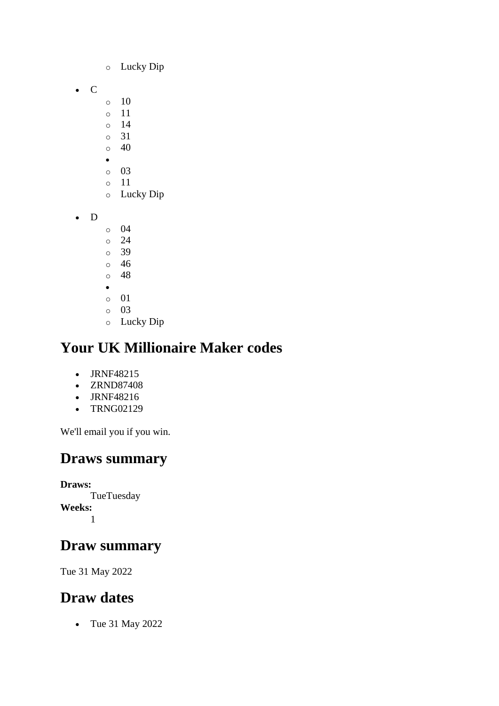- o Lucky Dip
- C
- $\circ$  10
- o 11
- o 14
- o 31  $\circ$  40
- $\bullet$
- o 03
- o 11
- o Lucky Dip
- D
- o 04
- o 24
- o 39 o 46
- o 48
- •
- o 01
- o 03
- o Lucky Dip

- JRNF48215
- ZRND87408
- JRNF48216
- TRNG02129

We'll email you if you win.

# **Draws summary**

**Draws: TueTuesday Weeks:** 1

# **Draw summary**

Tue 31 May 2022

# **Draw dates**

• Tue 31 May 2022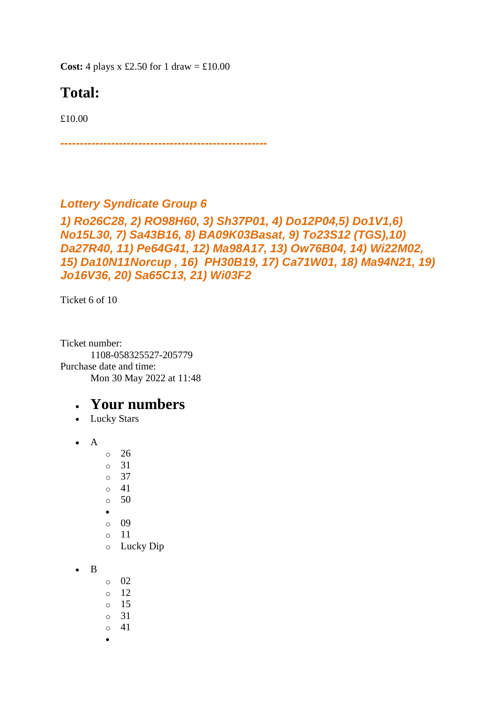**Cost:** 4 plays x £2.50 for 1 draw =  $\text{\textsterling}10.00$ 

# **Total:**

£10.00

*-----------------------------------------------------*

#### *Lottery Syndicate Group 6*

```
1) Ro26C28, 2) RO98H60, 3) Sh37P01, 4) Do12P04,5) Do1V1,6) 
No15L30, 7) Sa43B16, 8) BA09K03Basat, 9) To23S12 (TGS),10) 
Da27R40, 11) Pe64G41, 12) Ma98A17, 13) Ow76B04, 14) Wi22M02, 
15) Da10N11Norcup , 16) PH30B19, 17) Ca71W01, 18) Ma94N21, 19) 
Jo16V36, 20) Sa65C13, 21) Wi03F2
```
Ticket 6 of 10

Ticket number: 1108-058325527-205779 Purchase date and time: Mon 30 May 2022 at 11:48

#### • **Your numbers**

• Lucky Stars

• A

- o 26
- o 31
- o 37
- o 41
- o 50
- •
- o 09
- o 11
- o Lucky Dip
- B
- o 02
- $\circ$  12
- o 15
- o 31
- o 41
- •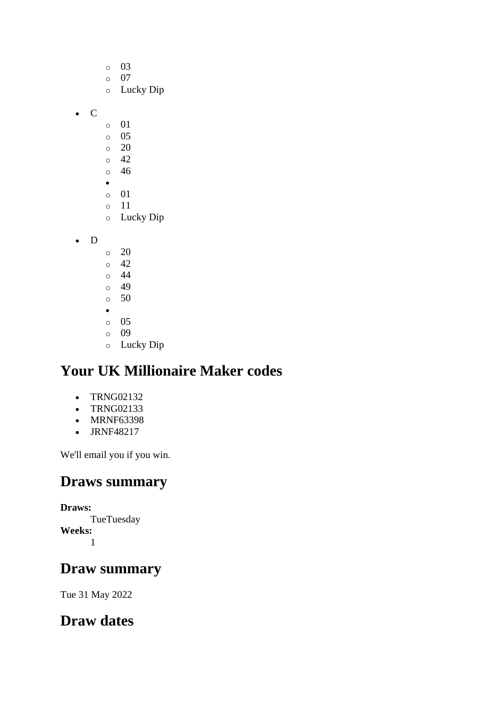- o 03
- o 07
- o Lucky Dip
- C
- o 01
- o 05
- $\circ$  20
- o 42 o 46
- •
- o 01
- o 11
- o Lucky Dip
- D
- $\circ$  20
- o 42
- $\circ$  44
- $\circ$  49  $\circ$  50
- •
- o 05
- o 09
- o Lucky Dip

- TRNG02132
- TRNG02133
- MRNF63398
- JRNF48217

We'll email you if you win.

# **Draws summary**

**Draws: TueTuesday Weeks:** 1

# **Draw summary**

Tue 31 May 2022

# **Draw dates**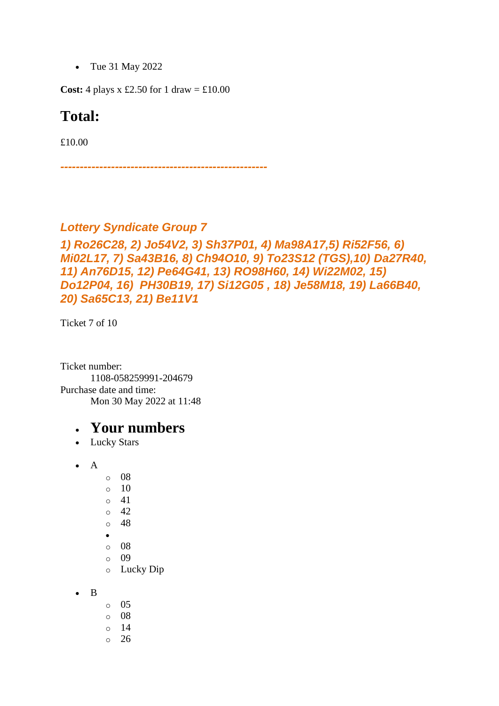• Tue 31 May 2022

**Cost:** 4 plays x £2.50 for 1 draw =  $\text{\textsterling}10.00$ 

#### **Total:**

£10.00

*-----------------------------------------------------*

#### *Lottery Syndicate Group 7*

```
1) Ro26C28, 2) Jo54V2, 3) Sh37P01, 4) Ma98A17,5) Ri52F56, 6) 
Mi02L17, 7) Sa43B16, 8) Ch94O10, 9) To23S12 (TGS),10) Da27R40, 
11) An76D15, 12) Pe64G41, 13) RO98H60, 14) Wi22M02, 15) 
Do12P04, 16) PH30B19, 17) Si12G05 , 18) Je58M18, 19) La66B40, 
20) Sa65C13, 21) Be11V1
```
Ticket 7 of 10

Ticket number: 1108-058259991-204679 Purchase date and time: Mon 30 May 2022 at 11:48

- Lucky Stars
- A
- o 08
- $\circ$  10
- o 41
- o 42
- o 48
- •
- o 08
- o 09 o Lucky Dip
- B
- o 05
- o 08
- o 14
- o 26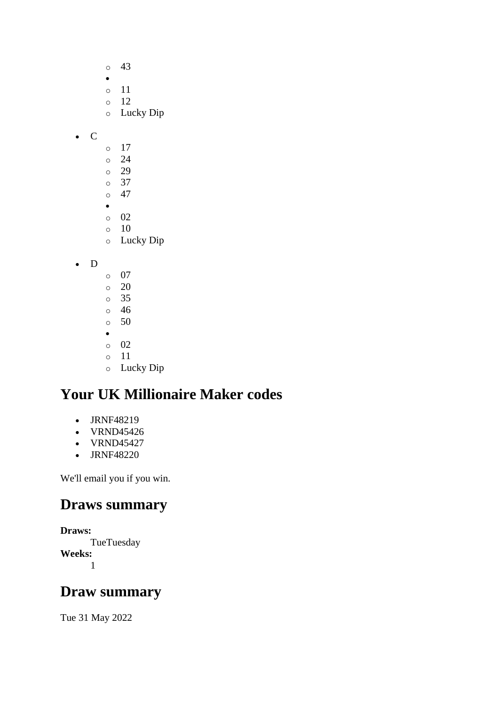- o 43 • o 11 o 12 o Lucky Dip
- C
- o 17 o 24 o 29
- o 37
- o 47
- •
- o 02
- o 10
- o Lucky Dip
- D
- o 07  $\circ$  20 o 35 o 46 o 50 • o 02 o 11 o Lucky Dip

- JRNF48219
- VRND45426
- VRND45427
- JRNF48220

We'll email you if you win.

# **Draws summary**

```
Draws:
      TueTuesday
Weeks:
      1
```
# **Draw summary**

Tue 31 May 2022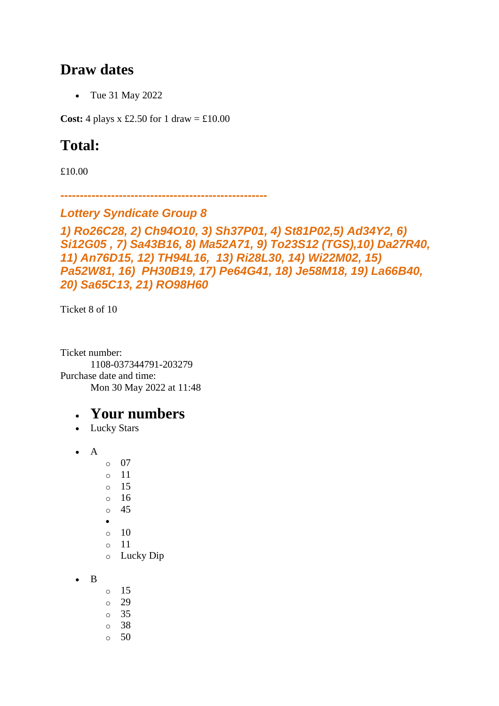### **Draw dates**

• Tue 31 May 2022

**Cost:** 4 plays x £2.50 for 1 draw =  $\text{\textsterling}10.00$ 

# **Total:**

£10.00

*-----------------------------------------------------*

#### *Lottery Syndicate Group 8*

*1) Ro26C28, 2) Ch94O10, 3) Sh37P01, 4) St81P02,5) Ad34Y2, 6) Si12G05 , 7) Sa43B16, 8) Ma52A71, 9) To23S12 (TGS),10) Da27R40, 11) An76D15, 12) TH94L16, 13) Ri28L30, 14) Wi22M02, 15) Pa52W81, 16) PH30B19, 17) Pe64G41, 18) Je58M18, 19) La66B40, 20) Sa65C13, 21) RO98H60*

Ticket 8 of 10

Ticket number: 1108-037344791-203279 Purchase date and time: Mon 30 May 2022 at 11:48

- Lucky Stars
- A
	- o 07 o 11 o 15 o 16 o 45 • o 10 o 11
		- o Lucky Dip
- B
- o 15  $\circ$  29  $\circ$  35 o 38 o 50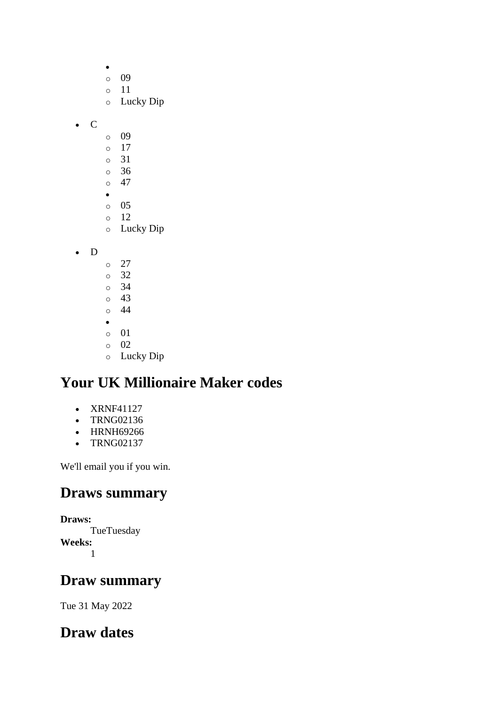$\bullet$ o 09 o 11 o Lucky Dip • C o 09 o 17 o 31 o 36  $\circ$  47 • o 05 o 12 o Lucky Dip • D o 27 o 32 o 34 o 43  $\circ$  44 • o 01 o 02 o Lucky Dip

# **Your UK Millionaire Maker codes**

- XRNF41127
- TRNG02136
- HRNH69266
- TRNG02137

We'll email you if you win.

### **Draws summary**

**Draws: TueTuesday Weeks:** 1

### **Draw summary**

Tue 31 May 2022

### **Draw dates**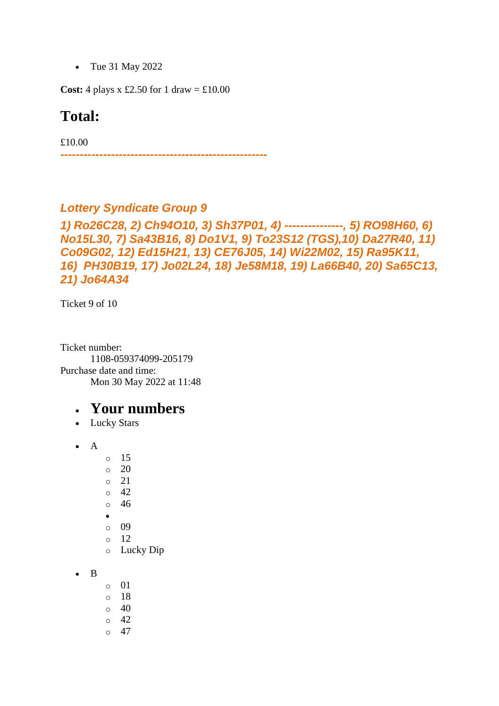• Tue 31 May 2022

**Cost:** 4 plays x £2.50 for 1 draw =  $\text{\textsterling}10.00$ 

#### **Total:**

£10.00

*-----------------------------------------------------*

#### *Lottery Syndicate Group 9*

*1) Ro26C28, 2) Ch94O10, 3) Sh37P01, 4) ---------------, 5) RO98H60, 6) No15L30, 7) Sa43B16, 8) Do1V1, 9) To23S12 (TGS),10) Da27R40, 11) Co09G02, 12) Ed15H21, 13) CE76J05, 14) Wi22M02, 15) Ra95K11, 16) PH30B19, 17) Jo02L24, 18) Je58M18, 19) La66B40, 20) Sa65C13, 21) Jo64A34*

Ticket 9 of 10

Ticket number: 1108-059374099-205179 Purchase date and time: Mon 30 May 2022 at 11:48

- Lucky Stars
- A
- o 15
- o 20
- o 21
- o 42
- o 46
- •
- o 09
- o 12 o Lucky Dip
- B
- o 01
- o 18
- $\circ$  40
- o 42
- $\circ$  47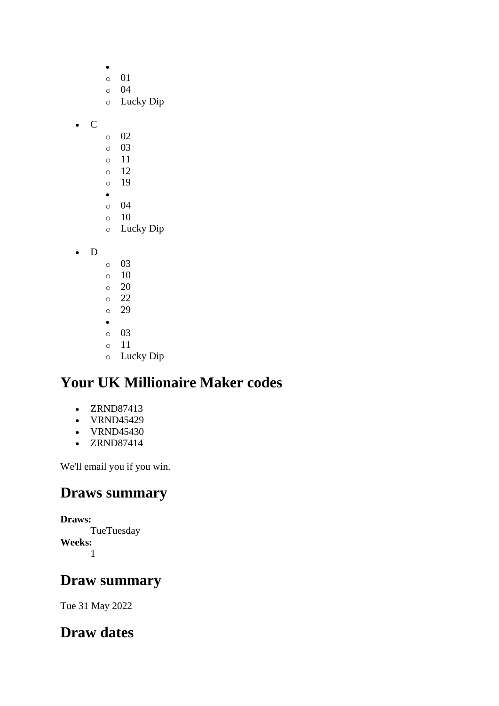|             | $\circ$<br>$\circ$<br>$\circ$ | 01<br>04<br>Lucky Dip |
|-------------|-------------------------------|-----------------------|
| $\mathsf C$ |                               |                       |
|             | $\circ$                       | 02                    |
|             | $\circ$                       | 03                    |
|             | $\circ$                       | 11                    |
|             | $\circ$                       | 12                    |
|             | $\circ$                       | 19                    |
|             | $\bullet$                     |                       |
|             | $\circ$                       | 04                    |
|             | $\circ$                       | 10<br>Lucky Dip       |
|             | $\circ$                       |                       |
| D           |                               |                       |
|             | $\circ$                       | 03                    |
|             | $\circ$                       | 10                    |
|             | $\circ$                       | 20                    |
|             | $\circ$                       | 22                    |
|             | $\circ$                       | 29                    |
|             | $\bullet$                     |                       |
|             | $\circ$                       | 03                    |
|             | $\circ$                       | 11                    |
|             | $\circ$                       | Lucky Dip             |

- ZRND87413
- VRND45429
- VRND45430
- ZRND87414

We'll email you if you win.

### **Draws summary**

**Draws: TueTuesday Weeks:** 1

### **Draw summary**

Tue 31 May 2022

# **Draw dates**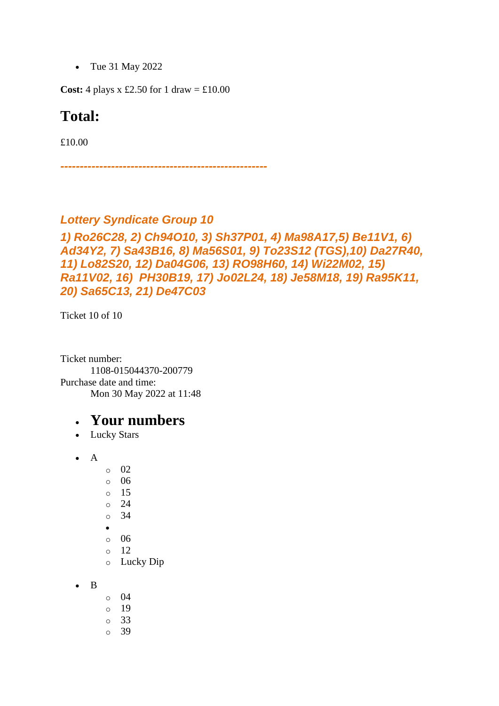• Tue 31 May 2022

**Cost:** 4 plays x £2.50 for 1 draw =  $\text{\textsterling}10.00$ 

#### **Total:**

£10.00

*-----------------------------------------------------*

#### *Lottery Syndicate Group 10*

#### *1) Ro26C28, 2) Ch94O10, 3) Sh37P01, 4) Ma98A17,5) Be11V1, 6) Ad34Y2, 7) Sa43B16, 8) Ma56S01, 9) To23S12 (TGS),10) Da27R40, 11) Lo82S20, 12) Da04G06, 13) RO98H60, 14) Wi22M02, 15) Ra11V02, 16) PH30B19, 17) Jo02L24, 18) Je58M18, 19) Ra95K11, 20) Sa65C13, 21) De47C03*

Ticket 10 of 10

Ticket number: 1108-015044370-200779 Purchase date and time: Mon 30 May 2022 at 11:48

#### • **Your numbers**

• Lucky Stars

• A

- o 02
- o 06
- o 15
- o 24
- o 34
- •
- $\circ$  06
- o 12
- o Lucky Dip

• B

- o 04
- o 19
- o 33
- o 39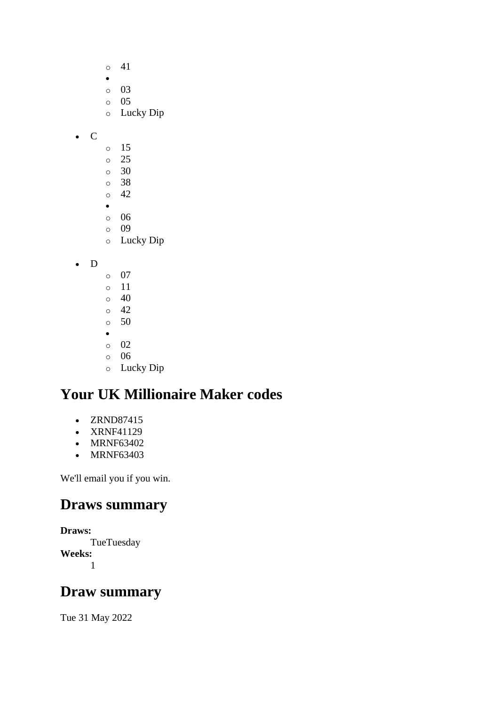- o 41
- •
- o 03  $\circ$  05
- o Lucky Dip
- C
- o 15
- o 25
- $\circ$  30 o 38
- o 42
- •
- o 06
- o 09
- o Lucky Dip
- D
- o 07
- o 11
- $\circ$  40  $\circ$  42
- o 50
- •
- o 02
- o 06
- o Lucky Dip

- ZRND87415
- XRNF41129
- MRNF63402
- MRNF63403

We'll email you if you win.

# **Draws summary**

```
Draws:
      TueTuesday
Weeks:
```

```
1
```
# **Draw summary**

Tue 31 May 2022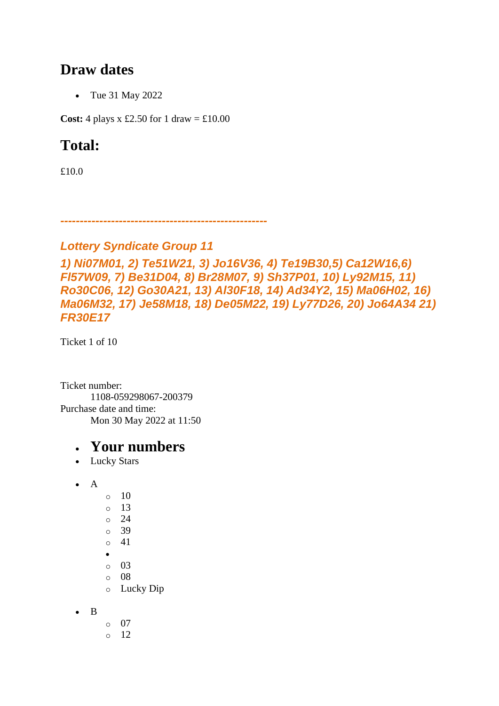### **Draw dates**

• Tue 31 May 2022

**Cost:** 4 plays x £2.50 for 1 draw =  $\text{\textsterling}10.00$ 

# **Total:**

£10.0

*-----------------------------------------------------*

#### *Lottery Syndicate Group 11*

```
1) Ni07M01, 2) Te51W21, 3) Jo16V36, 4) Te19B30,5) Ca12W16,6) 
Fl57W09, 7) Be31D04, 8) Br28M07, 9) Sh37P01, 10) Ly92M15, 11) 
Ro30C06, 12) Go30A21, 13) Al30F18, 14) Ad34Y2, 15) Ma06H02, 16) 
Ma06M32, 17) Je58M18, 18) De05M22, 19) Ly77D26, 20) Jo64A34 21) 
FR30E17
```
Ticket 1 of 10

Ticket number: 1108-059298067-200379 Purchase date and time: Mon 30 May 2022 at 11:50

- Lucky Stars
- $\bullet$  A o 10 o 13 o 24 o 39 o 41 • o 03 o 08 o Lucky Dip
- B
- o 07  $\circ$  12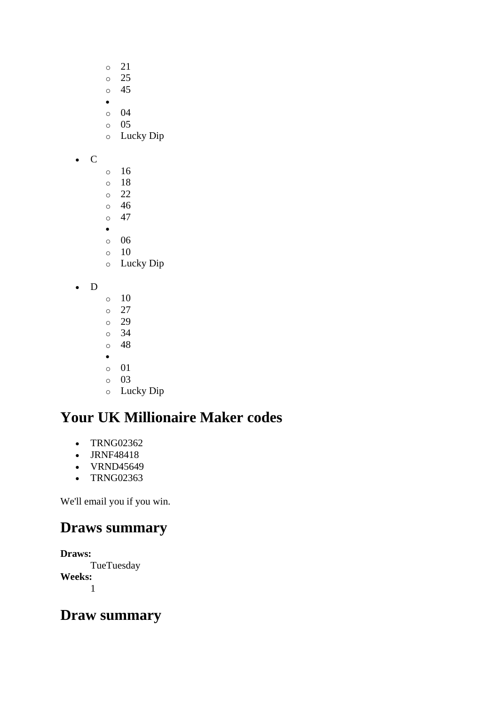- o 21
- o 25
- o 45
- o 04
- o 05
- o Lucky Dip
- C
- o 16
- o 18
- o 22 o 46
- $\circ$  47
- •
- o 06
- o 10
- o Lucky Dip
- D
- $\circ$  10 o 27 o 29 o 34 o 48 • o 01
- 
- o 03 o Lucky Dip

- TRNG02362
- JRNF48418
- VRND45649
- TRNG02363

We'll email you if you win.

# **Draws summary**

**Draws: TueTuesday Weeks:** 1

# **Draw summary**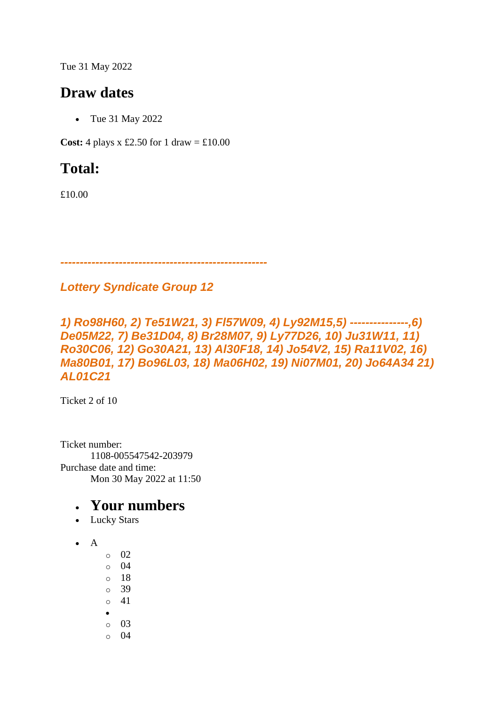Tue 31 May 2022

### **Draw dates**

• Tue 31 May 2022

**Cost:** 4 plays x £2.50 for 1 draw =  $\text{\textsterling}10.00$ 

# **Total:**

£10.00

*-----------------------------------------------------*

#### *Lottery Syndicate Group 12*

*1) Ro98H60, 2) Te51W21, 3) Fl57W09, 4) Ly92M15,5) ---------------,6) De05M22, 7) Be31D04, 8) Br28M07, 9) Ly77D26, 10) Ju31W11, 11) Ro30C06, 12) Go30A21, 13) Al30F18, 14) Jo54V2, 15) Ra11V02, 16) Ma80B01, 17) Bo96L03, 18) Ma06H02, 19) Ni07M01, 20) Jo64A34 21) AL01C21*

Ticket 2 of 10

Ticket number: 1108-005547542-203979 Purchase date and time: Mon 30 May 2022 at 11:50

- Lucky Stars
- $\bullet$  A
- o 02
- o 04
- o 18
- o 39 o 41
- •
- o 03
- $\circ$  04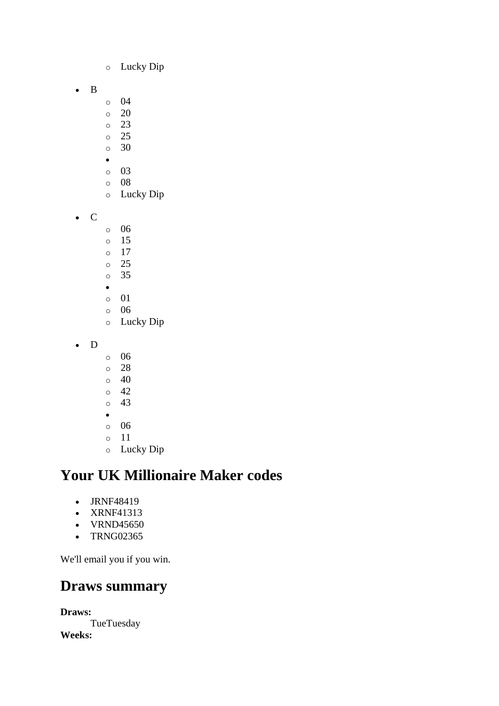- o Lucky Dip
- B
- o 04
- o 20
- o 23 o 25
- $\circ$  30
- •
- o 03
- o 08
- o Lucky Dip
- C
- o 06
- o 15
- o 17 o 25
- o 35
- •
- o 01
- o 06
- o Lucky Dip
- D
- o 06
- o 28
- o 40
- o 42
- o 43
- o 06
- o 11
- o Lucky Dip

- JRNF48419
- XRNF41313
- VRND45650
- TRNG02365

We'll email you if you win.

### **Draws summary**

**Draws: TueTuesday Weeks:**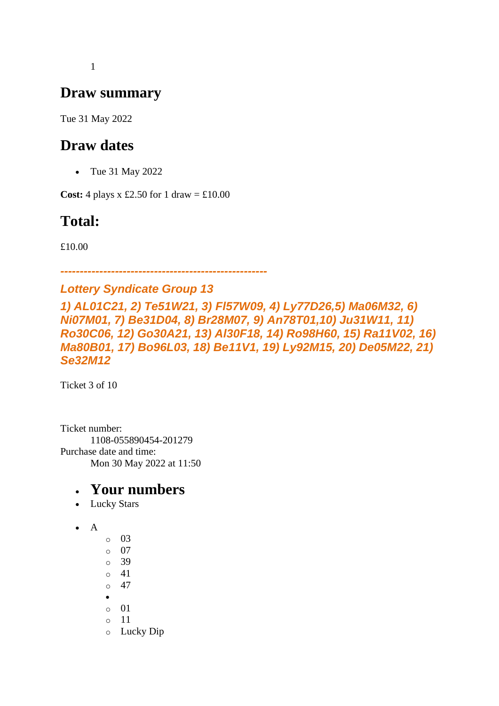1

### **Draw summary**

Tue 31 May 2022

### **Draw dates**

• Tue 31 May 2022

**Cost:** 4 plays x £2.50 for 1 draw =  $\text{\textsterling}10.00$ 

# **Total:**

£10.00

*-----------------------------------------------------*

#### *Lottery Syndicate Group 13*

*1) AL01C21, 2) Te51W21, 3) Fl57W09, 4) Ly77D26,5) Ma06M32, 6) Ni07M01, 7) Be31D04, 8) Br28M07, 9) An78T01,10) Ju31W11, 11) Ro30C06, 12) Go30A21, 13) Al30F18, 14) Ro98H60, 15) Ra11V02, 16) Ma80B01, 17) Bo96L03, 18) Be11V1, 19) Ly92M15, 20) De05M22, 21) Se32M12*

Ticket 3 of 10

Ticket number: 1108-055890454-201279 Purchase date and time: Mon 30 May 2022 at 11:50

- Lucky Stars
- A
- $\circ$  03  $\circ$  07 o 39 o 41  $\circ$  47 • o 01 o 11 o Lucky Dip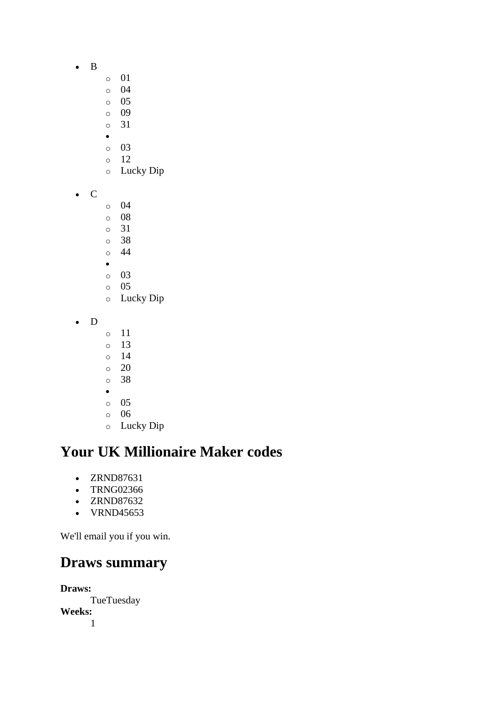- B
- o 01
- o 04
- o 05
- o 09 o 31
- •
- o 03
- o 12
- o Lucky Dip
- C
- o 04
- o 08
- o 31
- o 38 o 44
- •
- o 03
- o 05
- o Lucky Dip
- D
- o 11
- o 13
- o 14
- o 20 o 38
- •
- o 05
- o 06
- o Lucky Dip

- ZRND87631
- TRNG02366
- ZRND87632
- VRND45653

We'll email you if you win.

### **Draws summary**

**Draws:** TueTuesday **Weeks:** 1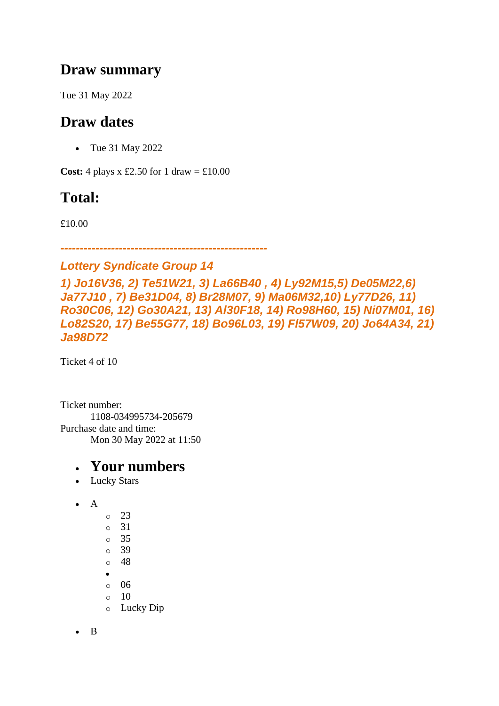### **Draw summary**

Tue 31 May 2022

# **Draw dates**

• Tue 31 May 2022

**Cost:** 4 plays x £2.50 for 1 draw =  $\text{\textsterling}10.00$ 

# **Total:**

£10.00

*-----------------------------------------------------*

#### *Lottery Syndicate Group 14*

*1) Jo16V36, 2) Te51W21, 3) La66B40 , 4) Ly92M15,5) De05M22,6) Ja77J10 , 7) Be31D04, 8) Br28M07, 9) Ma06M32,10) Ly77D26, 11) Ro30C06, 12) Go30A21, 13) Al30F18, 14) Ro98H60, 15) Ni07M01, 16) Lo82S20, 17) Be55G77, 18) Bo96L03, 19) Fl57W09, 20) Jo64A34, 21) Ja98D72*

Ticket 4 of 10

Ticket number: 1108-034995734-205679 Purchase date and time: Mon 30 May 2022 at 11:50

### • **Your numbers**

• Lucky Stars

- o 23 o 31 o 35 o 39  $\circ$  48 •
- o 06
- $\circ$  10
- o Lucky Dip

• B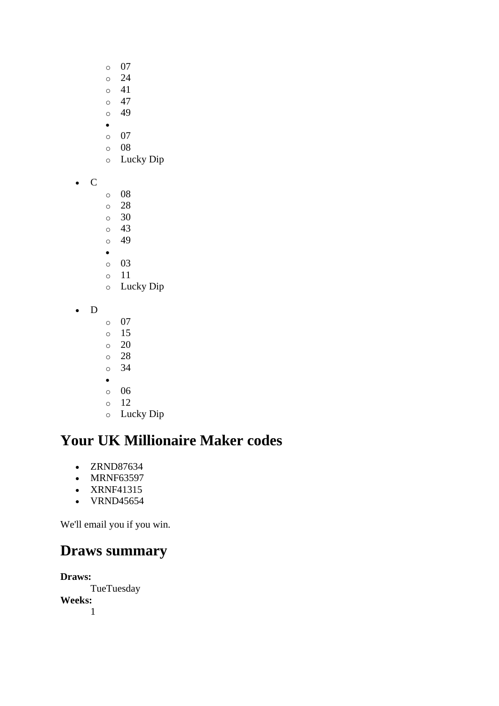- o 07
- o 24
- o 41
- $\circ$  47 o 49
- •
- o 07
- o 08
- o Lucky Dip
- C
- o 08
- o 28
- o 30 o 43
- o 49
- •
- o 03
- o 11
- o Lucky Dip
- D
- o 07
- o 15
- o 20
- o 28 o 34
- •
- o 06
- o 12
- o Lucky Dip

- ZRND87634
- MRNF63597
- XRNF41315
- VRND45654

We'll email you if you win.

# **Draws summary**

**Draws: TueTuesday Weeks:** 1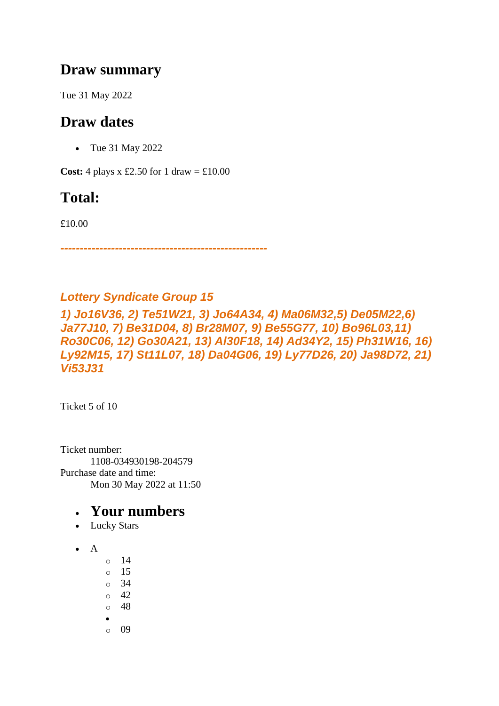### **Draw summary**

Tue 31 May 2022

# **Draw dates**

• Tue 31 May 2022

**Cost:** 4 plays x £2.50 for 1 draw =  $\text{\textsterling}10.00$ 

# **Total:**

£10.00

*-----------------------------------------------------*

### *Lottery Syndicate Group 15*

*1) Jo16V36, 2) Te51W21, 3) Jo64A34, 4) Ma06M32,5) De05M22,6) Ja77J10, 7) Be31D04, 8) Br28M07, 9) Be55G77, 10) Bo96L03,11) Ro30C06, 12) Go30A21, 13) Al30F18, 14) Ad34Y2, 15) Ph31W16, 16) Ly92M15, 17) St11L07, 18) Da04G06, 19) Ly77D26, 20) Ja98D72, 21) Vi53J31*

Ticket 5 of 10

Ticket number: 1108-034930198-204579 Purchase date and time: Mon 30 May 2022 at 11:50

- Lucky Stars
- $\bullet$  A
- $\circ$  14
- o 15
- o 34
- $\circ$  42
- $\circ$  48
- •
- o 09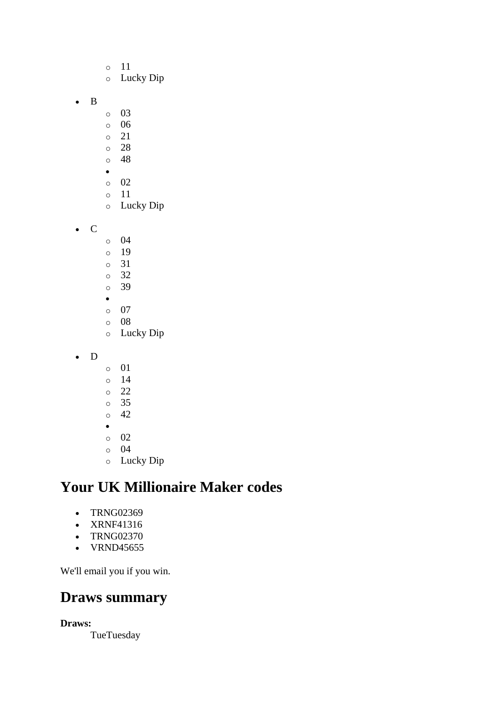- o 11 o Lucky Dip
- B
- o 03
- o 06
- o 21
- o 28
- o 48 •
- o 02
- o 11
- o Lucky Dip
- C
- o 04 o 19 o 31 o 32 o 39 •
- o 07
- o 08 o Lucky Dip
- D
- o 01
- o 14
- o 22
- o 35  $\circ$  42
- •
- o 02
- o 04
- o Lucky Dip

- TRNG02369
- XRNF41316
- TRNG02370
- VRND45655

We'll email you if you win.

# **Draws summary**

#### **Draws:**

**TueTuesday**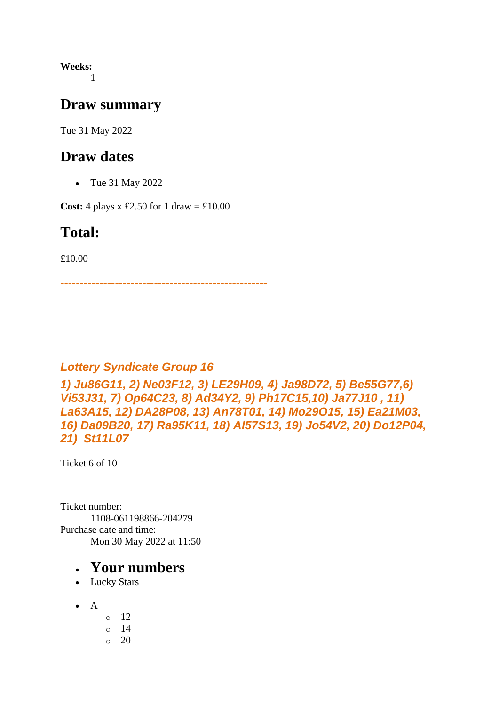**Weeks:** 1

#### **Draw summary**

Tue 31 May 2022

### **Draw dates**

• Tue 31 May 2022

**Cost:** 4 plays x £2.50 for 1 draw =  $\text{\textsterling}10.00$ 

### **Total:**

£10.00

*-----------------------------------------------------*

#### *Lottery Syndicate Group 16*

*1) Ju86G11, 2) Ne03F12, 3) LE29H09, 4) Ja98D72, 5) Be55G77,6) Vi53J31, 7) Op64C23, 8) Ad34Y2, 9) Ph17C15,10) Ja77J10 , 11) La63A15, 12) DA28P08, 13) An78T01, 14) Mo29O15, 15) Ea21M03, 16) Da09B20, 17) Ra95K11, 18) Al57S13, 19) Jo54V2, 20) Do12P04, 21) St11L07*

Ticket 6 of 10

Ticket number: 1108-061198866-204279 Purchase date and time: Mon 30 May 2022 at 11:50

- Lucky Stars
- $\bullet$  A
- o 12 o 14  $\circ$  20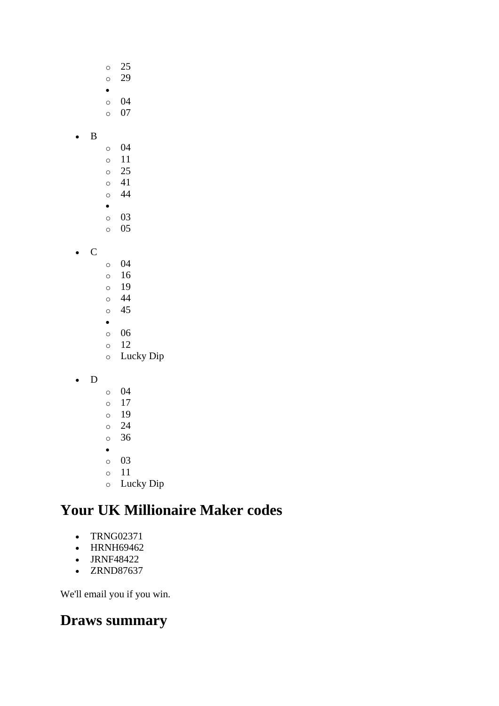- o 25 o 29 • o 04 o 07 • B o 04 o 11 o 25 o 41 o 44 • o 03 o 05 • C o 04 o 16 o 19 o 44 o 45 • o 06 o 12 o Lucky Dip • D o 04 o 17 o 19 o 24 o 36
	- •
	- o 03
	- o 11
	- o Lucky Dip

- TRNG02371
- HRNH69462
- JRNF48422
- ZRND87637

We'll email you if you win.

### **Draws summary**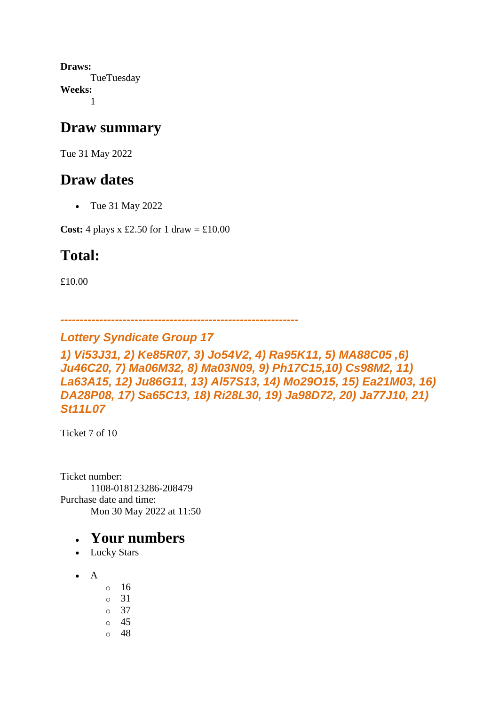**Draws: TueTuesday Weeks:** 1

### **Draw summary**

Tue 31 May 2022

### **Draw dates**

• Tue 31 May 2022

**Cost:** 4 plays x £2.50 for 1 draw =  $\text{\textsterling}10.00$ 

# **Total:**

£10.00

```
-------------------------------------------------------------
```
### *Lottery Syndicate Group 17*

*1) Vi53J31, 2) Ke85R07, 3) Jo54V2, 4) Ra95K11, 5) MA88C05 ,6) Ju46C20, 7) Ma06M32, 8) Ma03N09, 9) Ph17C15,10) Cs98M2, 11) La63A15, 12) Ju86G11, 13) Al57S13, 14) Mo29O15, 15) Ea21M03, 16) DA28P08, 17) Sa65C13, 18) Ri28L30, 19) Ja98D72, 20) Ja77J10, 21) St11L07*

Ticket 7 of 10

Ticket number: 1108-018123286-208479 Purchase date and time: Mon 30 May 2022 at 11:50

- Lucky Stars
- $\bullet$  A
- o 16
- o 31 o 37
- o 45
- o 48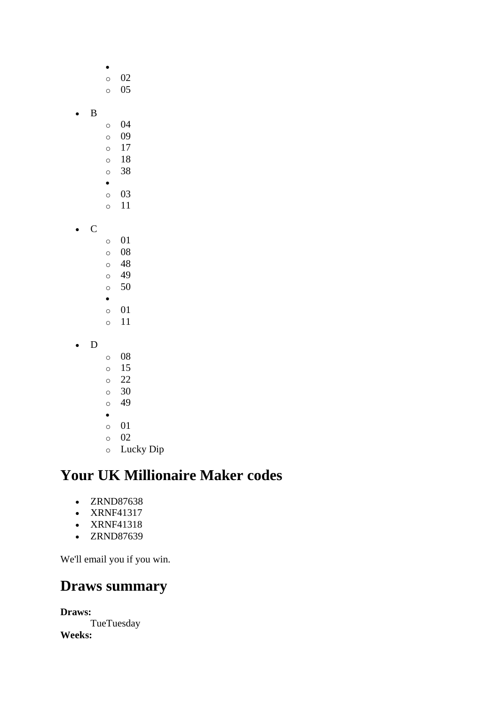- o 02 o 05 • B o 04 o 09 o 17 o 18 o 38 • o 03 o 11 • C o 01 o 08 o 48 o 49 o 50 • o 01 o 11 • D o 08 o 15 o 22 o 30
	- o 49
	- •
	- o 01
	- o 02
	- o Lucky Dip

- ZRND87638
- XRNF41317
- XRNF41318
- ZRND87639

We'll email you if you win.

### **Draws summary**

**Draws: TueTuesday Weeks:**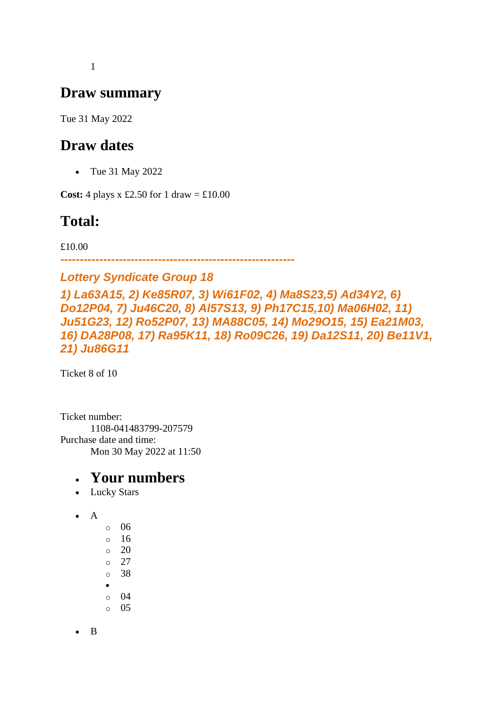1

### **Draw summary**

Tue 31 May 2022

### **Draw dates**

• Tue 31 May 2022

**Cost:** 4 plays x £2.50 for 1 draw =  $\text{\pounds}10.00$ 

# **Total:**

£10.00

*------------------------------------------------------------*

*Lottery Syndicate Group 18 1) La63A15, 2) Ke85R07, 3) Wi61F02, 4) Ma8S23,5) Ad34Y2, 6) Do12P04, 7) Ju46C20, 8) Al57S13, 9) Ph17C15,10) Ma06H02, 11) Ju51G23, 12) Ro52P07, 13) MA88C05, 14) Mo29O15, 15) Ea21M03, 16) DA28P08, 17) Ra95K11, 18) Ro09C26, 19) Da12S11, 20) Be11V1, 21) Ju86G11*

Ticket 8 of 10

Ticket number: 1108-041483799-207579 Purchase date and time: Mon 30 May 2022 at 11:50

#### • **Your numbers**

- Lucky Stars
- A
- o 06
- $\circ$  16
- $\circ$  20
- o 27
- o 38
- o 04
- o 05

• B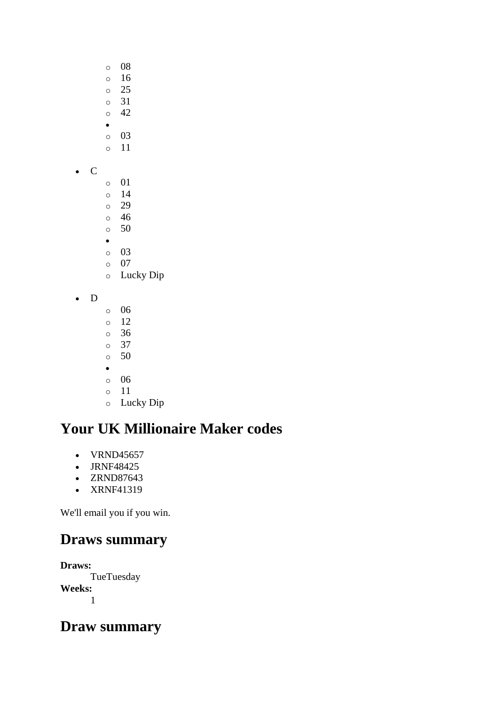- o 08
- o 16 o 25
- o 31
- o 42
- •
- o 03 o 11
- C
- o 01
- o 14 o 29
- o 46
- o 50
- •
- o 03
- o 07 o Lucky Dip
- D
- o 06
- o 12 o 36
- o 37
- o 50
- •
- o 06
- o 11
- o Lucky Dip

- VRND45657
- JRNF48425
- ZRND87643
- XRNF41319

We'll email you if you win.

# **Draws summary**

**Draws: TueTuesday Weeks:** 1

# **Draw summary**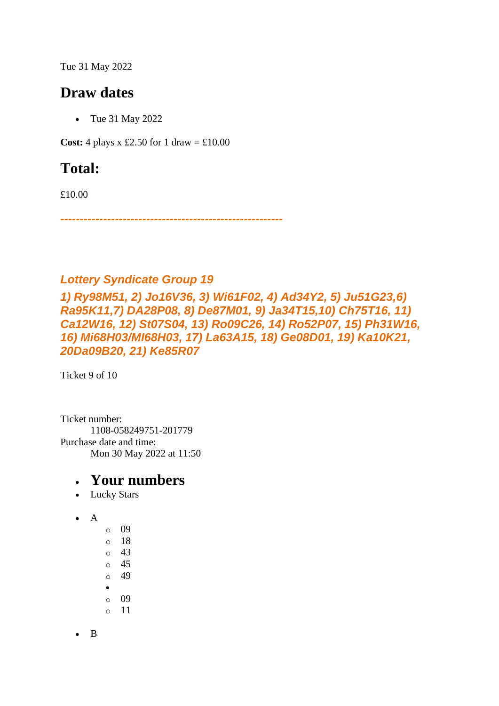Tue 31 May 2022

### **Draw dates**

• Tue 31 May 2022

**Cost:** 4 plays x £2.50 for 1 draw =  $\text{\textsterling}10.00$ 

# **Total:**

£10.00

*---------------------------------------------------------*

#### *Lottery Syndicate Group 19*

*1) Ry98M51, 2) Jo16V36, 3) Wi61F02, 4) Ad34Y2, 5) Ju51G23,6) Ra95K11,7) DA28P08, 8) De87M01, 9) Ja34T15,10) Ch75T16, 11) Ca12W16, 12) St07S04, 13) Ro09C26, 14) Ro52P07, 15) Ph31W16, 16) Mi68H03/MI68H03, 17) La63A15, 18) Ge08D01, 19) Ka10K21, 20Da09B20, 21) Ke85R07*

Ticket 9 of 10

Ticket number: 1108-058249751-201779 Purchase date and time: Mon 30 May 2022 at 11:50

#### • **Your numbers**

- Lucky Stars
- A
- o 09 o 18 o 43 o 45 o 49 • o 09 o 11

• B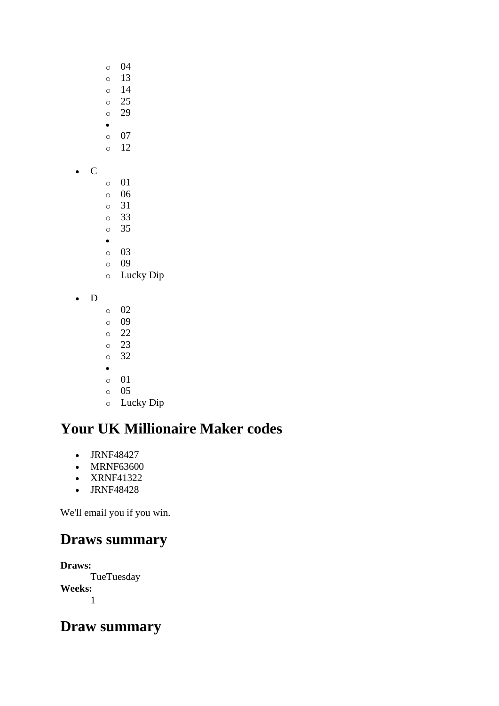- o 04
- o 13 o 14
- o 25
- o 29
- •
- o 07 o 12
- C
- o 01
- o 06
- o 31 o 33
- o 35
- •
- o 03
- o 09
- o Lucky Dip
- D
- o 02
- o 09 o 22
- o 23
- o 32
- •
- o 01
- o 05
- o Lucky Dip

- JRNF48427
- MRNF63600
- XRNF41322
- JRNF48428

We'll email you if you win.

# **Draws summary**

**Draws: TueTuesday Weeks:** 1

# **Draw summary**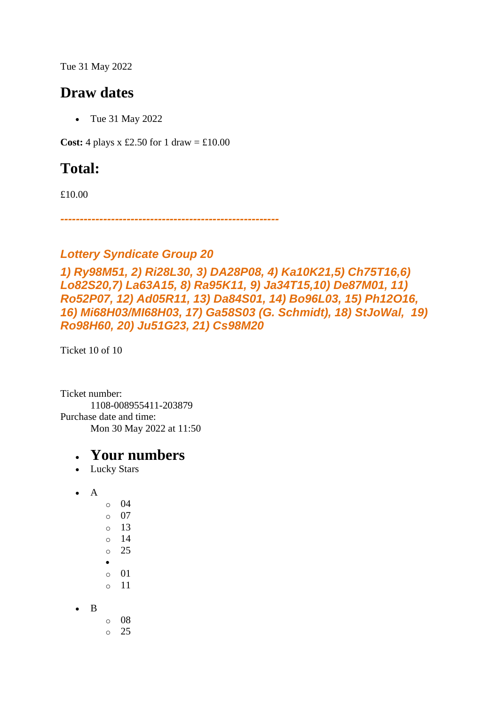Tue 31 May 2022

### **Draw dates**

• Tue 31 May 2022

**Cost:** 4 plays x £2.50 for 1 draw =  $\text{\textsterling}10.00$ 

# **Total:**

£10.00

*--------------------------------------------------------*

#### *Lottery Syndicate Group 20*

*1) Ry98M51, 2) Ri28L30, 3) DA28P08, 4) Ka10K21,5) Ch75T16,6) Lo82S20,7) La63A15, 8) Ra95K11, 9) Ja34T15,10) De87M01, 11) Ro52P07, 12) Ad05R11, 13) Da84S01, 14) Bo96L03, 15) Ph12O16, 16) Mi68H03/MI68H03, 17) Ga58S03 (G. Schmidt), 18) StJoWal, 19) Ro98H60, 20) Ju51G23, 21) Cs98M20*

Ticket 10 of 10

Ticket number: 1108-008955411-203879 Purchase date and time: Mon 30 May 2022 at 11:50

- Lucky Stars
- A
- o 04 o 07 o 13  $\circ$  14 o 25 • o 01 o 11
- B
- o 08 o 25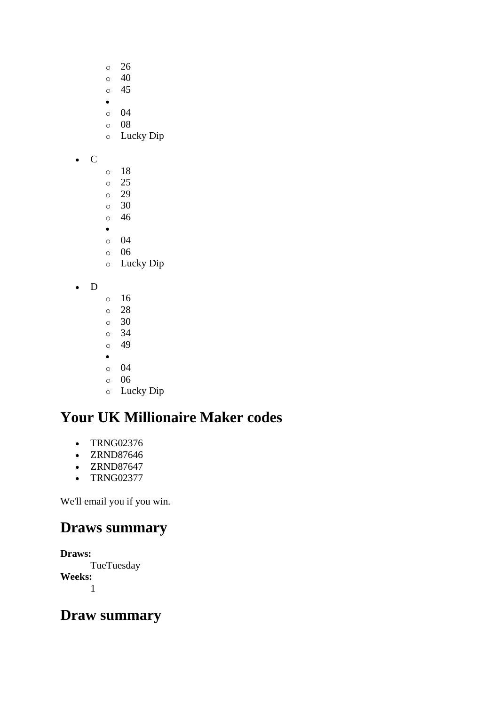- o 26
- $\circ$  40
- o 45
- •
- o 04 o 08
- o Lucky Dip

• C

- o 18
- o 25
- o 29 o 30
- o 46
- •
- o 04
- o 06
- o Lucky Dip

• D

- o 16
- o 28 o 30
- o 34
- $\circ$  49
- •
- o 04
- o 06
- o Lucky Dip

# **Your UK Millionaire Maker codes**

- TRNG02376
- ZRND87646
- ZRND87647
- TRNG02377

We'll email you if you win.

# **Draws summary**

**Draws: TueTuesday Weeks:** 1

# **Draw summary**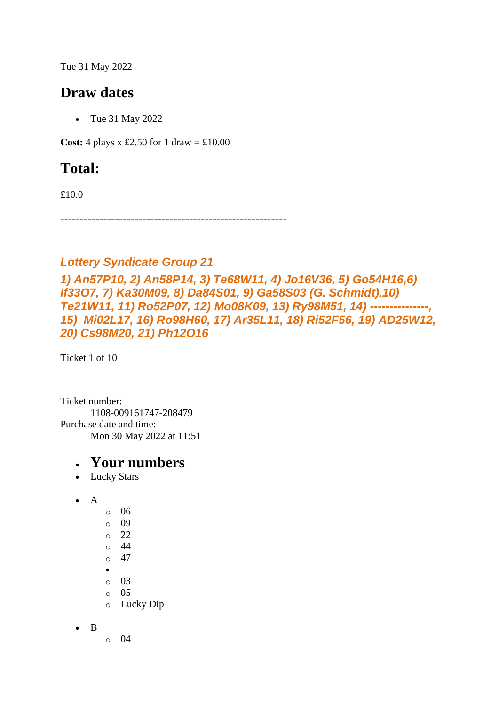Tue 31 May 2022

### **Draw dates**

• Tue 31 May 2022

**Cost:** 4 plays x £2.50 for 1 draw =  $\text{\textsterling}10.00$ 

# **Total:**

£10.0

*----------------------------------------------------------*

#### *Lottery Syndicate Group 21*

*1) An57P10, 2) An58P14, 3) Te68W11, 4) Jo16V36, 5) Go54H16,6) If33O7, 7) Ka30M09, 8) Da84S01, 9) Ga58S03 (G. Schmidt),10) Te21W11, 11) Ro52P07, 12) Mo08K09, 13) Ry98M51, 14) ---------------, 15) Mi02L17, 16) Ro98H60, 17) Ar35L11, 18) Ri52F56, 19) AD25W12, 20) Cs98M20, 21) Ph12O16*

Ticket 1 of 10

Ticket number: 1108-009161747-208479 Purchase date and time: Mon 30 May 2022 at 11:51

#### • **Your numbers**

• Lucky Stars

```
\bullet A
      o 06 
      o 09 
      o 22 
      o 44 
      o 47 
      •
      o 03 
      o 05 
      o Lucky Dip
```
• B

o 04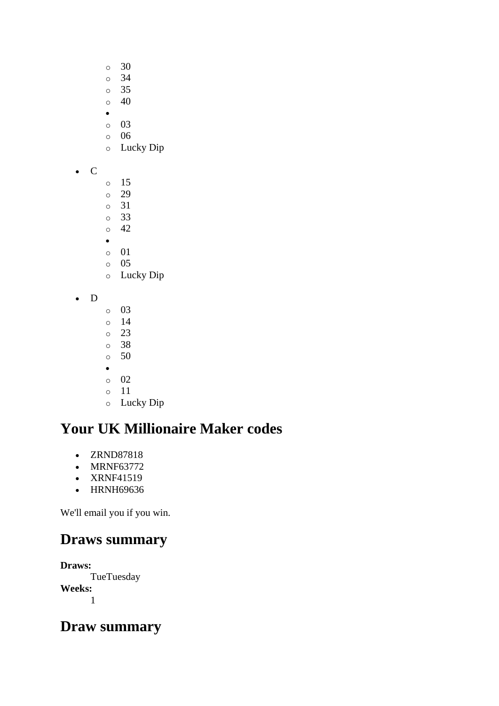- $\circ$  30
- o 34
- o 35
- $\circ$  40
- o 03
- o 06
- o Lucky Dip
- C
- o 15 o 29
- o 31
- o 33 o 42
- •
- o 01
- o 05
- o Lucky Dip
- D
- o 03
- o 14 o 23
- o 38
- o 50
- •
- o 02
- o 11

# o Lucky Dip

# **Your UK Millionaire Maker codes**

- ZRND87818
- MRNF63772
- XRNF41519
- HRNH69636

We'll email you if you win.

# **Draws summary**

**Draws: TueTuesday Weeks:** 1

# **Draw summary**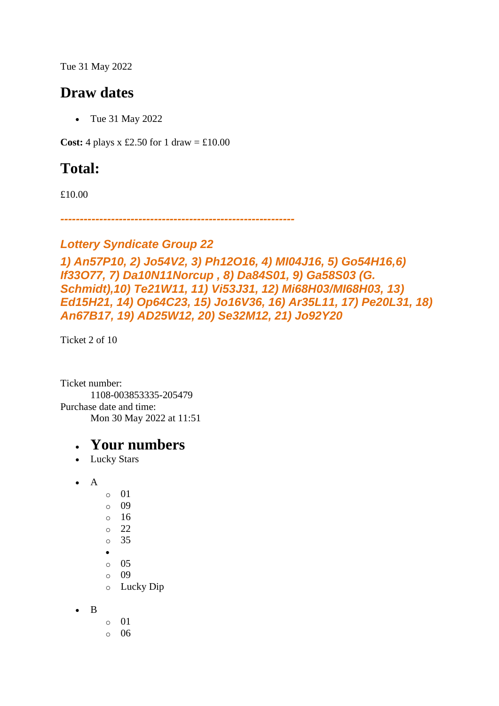Tue 31 May 2022

### **Draw dates**

• Tue 31 May 2022

**Cost:** 4 plays x £2.50 for 1 draw =  $\text{\textsterling}10.00$ 

# **Total:**

£10.00

*------------------------------------------------------------*

#### *Lottery Syndicate Group 22*

```
1) An57P10, 2) Jo54V2, 3) Ph12O16, 4) MI04J16, 5) Go54H16,6) 
If33O77, 7) Da10N11Norcup , 8) Da84S01, 9) Ga58S03 (G. 
Schmidt),10) Te21W11, 11) Vi53J31, 12) Mi68H03/MI68H03, 13) 
Ed15H21, 14) Op64C23, 15) Jo16V36, 16) Ar35L11, 17) Pe20L31, 18) 
An67B17, 19) AD25W12, 20) Se32M12, 21) Jo92Y20
```
Ticket 2 of 10

Ticket number: 1108-003853335-205479 Purchase date and time: Mon 30 May 2022 at 11:51

- Lucky Stars
- $\bullet$  A
	- o 01 o 09 o 16 o 22 o 35
	- •
	- o 05
	- o 09
	- o Lucky Dip
- B
- o 01
- o 06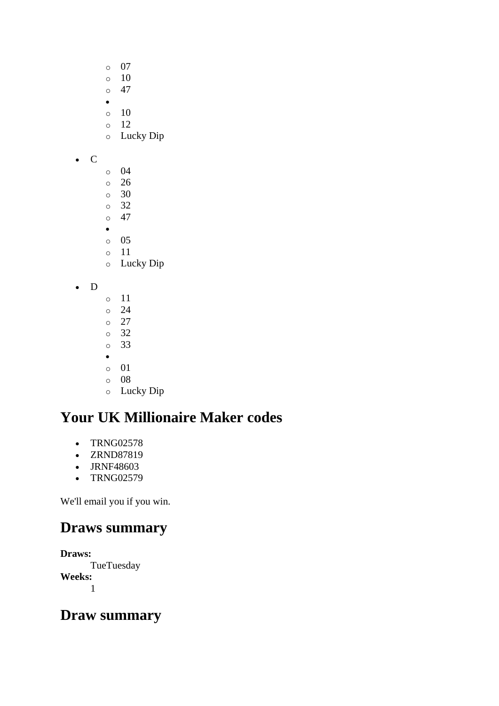- o 07
- $\circ$  10
- $\circ$  47 •
- o 10
- o 12
- o Lucky Dip
- C
- o 04
- o 26
- o 30 o 32
- $\circ$  47
- •
- o 05
- o 11
- o Lucky Dip
- D
- o 11 o 24 o 27 o 32 o 33 • o 01 o 08
- o Lucky Dip

- TRNG02578
- ZRND87819
- JRNF48603
- TRNG02579

We'll email you if you win.

# **Draws summary**

**Draws: TueTuesday Weeks:** 1

# **Draw summary**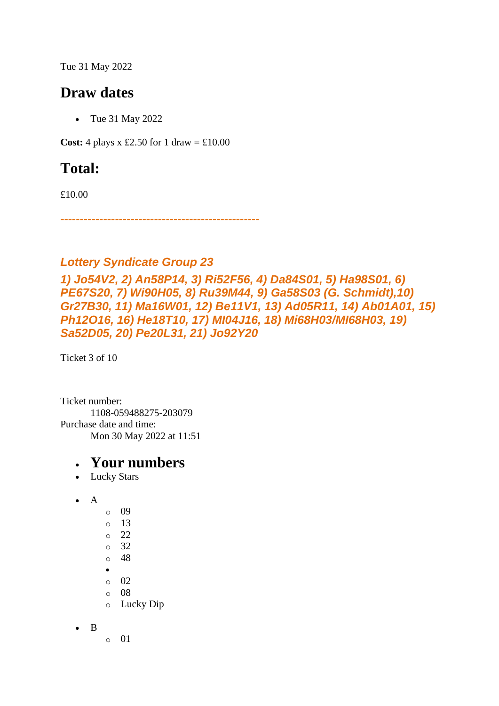Tue 31 May 2022

### **Draw dates**

• Tue 31 May 2022

**Cost:** 4 plays x £2.50 for 1 draw =  $\text{\textsterling}10.00$ 

# **Total:**

£10.00

*---------------------------------------------------*

#### *Lottery Syndicate Group 23*

*1) Jo54V2, 2) An58P14, 3) Ri52F56, 4) Da84S01, 5) Ha98S01, 6) PE67S20, 7) Wi90H05, 8) Ru39M44, 9) Ga58S03 (G. Schmidt),10) Gr27B30, 11) Ma16W01, 12) Be11V1, 13) Ad05R11, 14) Ab01A01, 15) Ph12O16, 16) He18T10, 17) MI04J16, 18) Mi68H03/MI68H03, 19) Sa52D05, 20) Pe20L31, 21) Jo92Y20*

Ticket 3 of 10

Ticket number: 1108-059488275-203079 Purchase date and time: Mon 30 May 2022 at 11:51

#### • **Your numbers**

• Lucky Stars

```
• A 
      o 09 
      \circ 13
      o 22 
      o 32 
      o 48 
      •
      o 02 
      o 08 
      o Lucky Dip
```
• B

o 01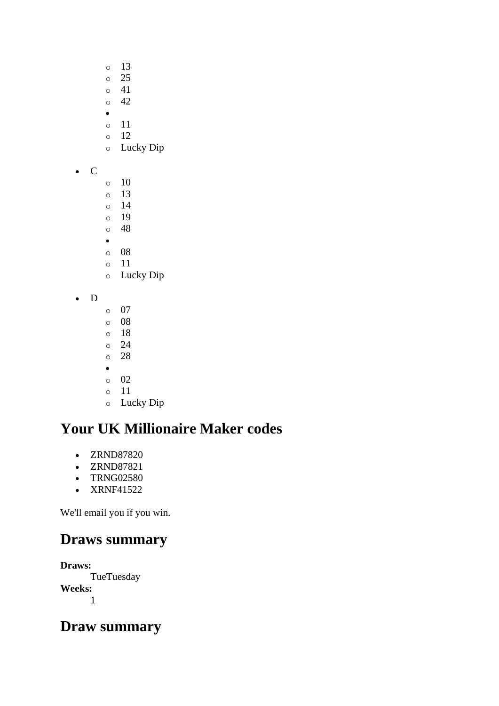- o 13 o 25
- o 41
- $\circ$  42
- o 11
- $\circ$  12
- o Lucky Dip
- C
- $\circ$  10 o 13 o 14 o 19 o 48 •
- o 08
- o 11 o Lucky Dip
- D
- o 07
- o 08
- o 18 o 24
- o 28
- •
- o 02
- o 11
- o Lucky Dip

- ZRND87820
- ZRND87821
- TRNG02580
- XRNF41522

We'll email you if you win.

# **Draws summary**

**Draws: TueTuesday Weeks:** 1

# **Draw summary**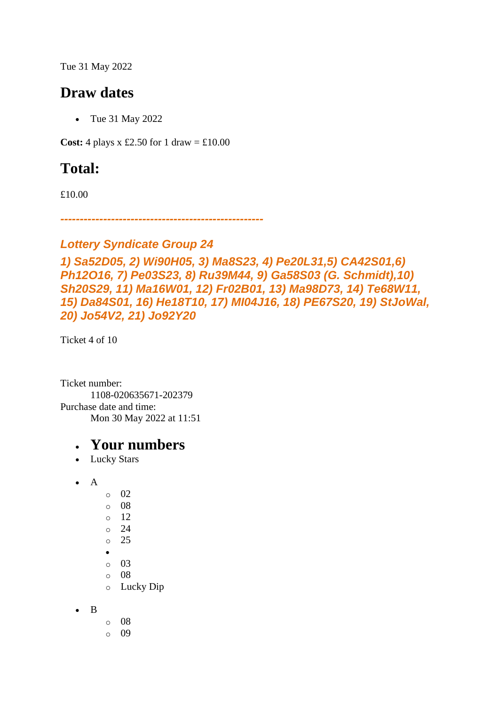Tue 31 May 2022

### **Draw dates**

• Tue 31 May 2022

**Cost:** 4 plays x £2.50 for 1 draw =  $\text{\textsterling}10.00$ 

# **Total:**

£10.00

*----------------------------------------------------*

#### *Lottery Syndicate Group 24*

```
1) Sa52D05, 2) Wi90H05, 3) Ma8S23, 4) Pe20L31,5) CA42S01,6) 
Ph12O16, 7) Pe03S23, 8) Ru39M44, 9) Ga58S03 (G. Schmidt),10) 
Sh20S29, 11) Ma16W01, 12) Fr02B01, 13) Ma98D73, 14) Te68W11,
15) Da84S01, 16) He18T10, 17) MI04J16, 18) PE67S20, 19) StJoWal, 
20) Jo54V2, 21) Jo92Y20
```
Ticket 4 of 10

Ticket number: 1108-020635671-202379 Purchase date and time: Mon 30 May 2022 at 11:51

- Lucky Stars
- $\bullet$  A  $\circ$  02
	- o 08 o 12
	- o 24
	- o 25
	- •
	- o 03
	- o 08
	- o Lucky Dip
- B
- o 08
- o 09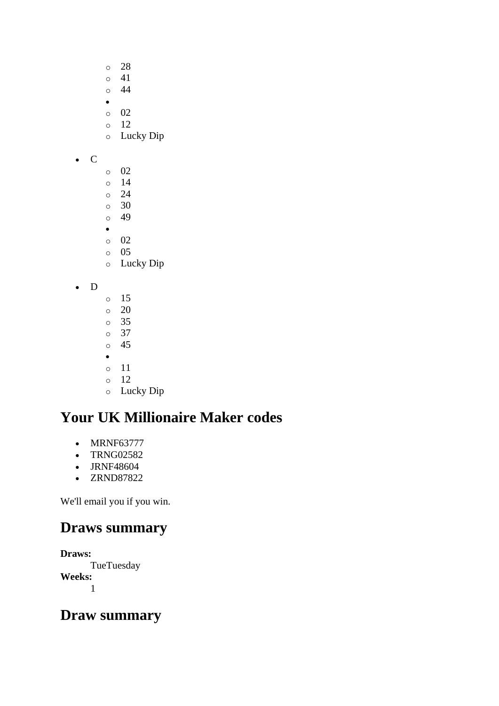- o 28
- $\circ$  41 o 44
- •
- o 02
- o 12
- o Lucky Dip
- C
- o 02
- o 14 o 24
- o 30
- o 49
- •
- o 02
- o 05
- o Lucky Dip
- D
- o 15  $\circ$  20 o 35 o 37 o 45 • o 11 o 12
- o Lucky Dip

- MRNF63777
- TRNG02582
- JRNF48604
- ZRND87822

We'll email you if you win.

# **Draws summary**

**Draws: TueTuesday Weeks:** 1

# **Draw summary**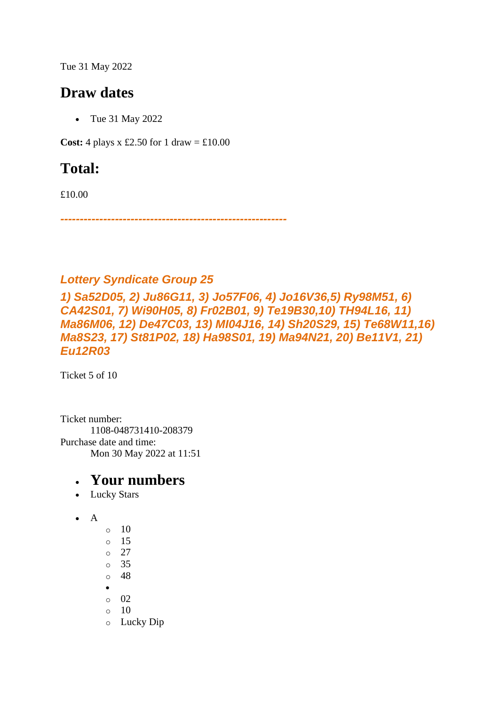Tue 31 May 2022

### **Draw dates**

• Tue 31 May 2022

**Cost:** 4 plays x £2.50 for 1 draw =  $\text{\textsterling}10.00$ 

# **Total:**

£10.00

*----------------------------------------------------------*

#### *Lottery Syndicate Group 25*

*1) Sa52D05, 2) Ju86G11, 3) Jo57F06, 4) Jo16V36,5) Ry98M51, 6) CA42S01, 7) Wi90H05, 8) Fr02B01, 9) Te19B30,10) TH94L16, 11) Ma86M06, 12) De47C03, 13) MI04J16, 14) Sh20S29, 15) Te68W11,16) Ma8S23, 17) St81P02, 18) Ha98S01, 19) Ma94N21, 20) Be11V1, 21) Eu12R03*

Ticket 5 of 10

Ticket number: 1108-048731410-208379 Purchase date and time: Mon 30 May 2022 at 11:51

- Lucky Stars
- A
- $\circ$  10 o 15  $\circ$  27 o 35 o 48 • o 02  $\circ$  10 o Lucky Dip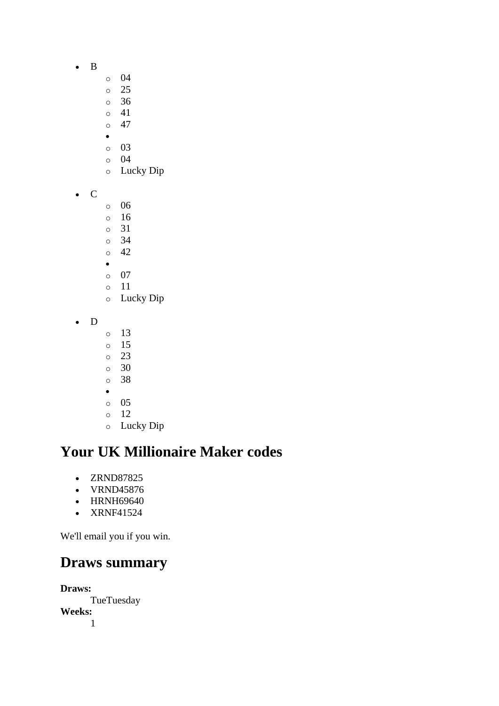- B
- o 04
- o 25
- o 36
- o 41  $\circ$  47
- •
- o 03
- o 04
- o Lucky Dip
- C
- o 06
- o 16
- o 31
- o 34 o 42
- •
- o 07
- o 11
- o Lucky Dip
- D
- o 13
- o 15
- o 23
- o 30 o 38
- •
- o 05
- o 12
- o Lucky Dip

- ZRND87825
- VRND45876
- HRNH69640
- XRNF41524

We'll email you if you win.

### **Draws summary**

**Draws:** TueTuesday **Weeks:** 1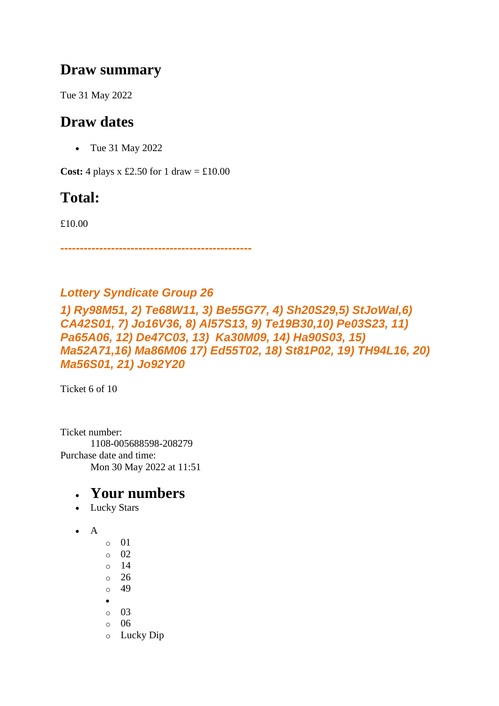### **Draw summary**

Tue 31 May 2022

### **Draw dates**

• Tue 31 May 2022

**Cost:** 4 plays x £2.50 for 1 draw =  $\text{\textsterling}10.00$ 

# **Total:**

£10.00

*-------------------------------------------------*

#### *Lottery Syndicate Group 26*

*1) Ry98M51, 2) Te68W11, 3) Be55G77, 4) Sh20S29,5) StJoWal,6) CA42S01, 7) Jo16V36, 8) Al57S13, 9) Te19B30,10) Pe03S23, 11) Pa65A06, 12) De47C03, 13) Ka30M09, 14) Ha90S03, 15) Ma52A71,16) Ma86M06 17) Ed55T02, 18) St81P02, 19) TH94L16, 20) Ma56S01, 21) Jo92Y20*

Ticket 6 of 10

Ticket number: 1108-005688598-208279 Purchase date and time: Mon 30 May 2022 at 11:51

- Lucky Stars
- $\bullet$  A
- o 01
- o 02
- $\circ$  14
- o 26
- o 49
- o 03
- o 06
- o Lucky Dip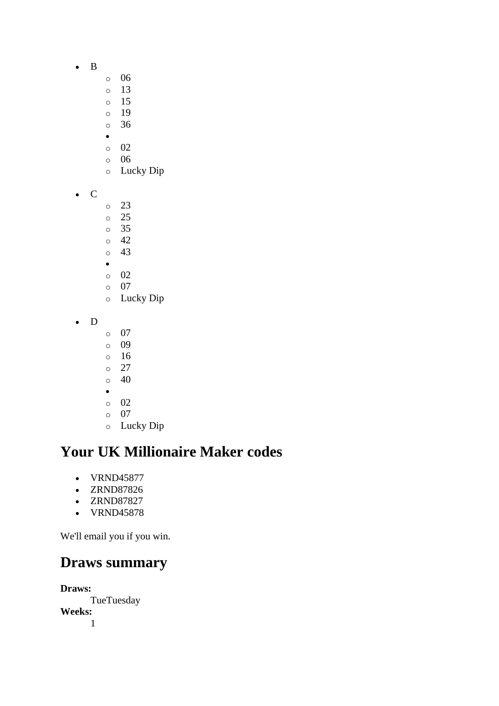- B
- o 06
- o 13
- o 15
- o 19 o 36
- •
- o 02
- o 06
- o Lucky Dip
- C
- o 23
- o 25
- o 35 o 42
- o 43
- •
- o 02
- o 07
- o Lucky Dip
- D
- o 07
- o 09
- o 16 o 27
- o 40
- •
- o 02
- o 07
- o Lucky Dip

- VRND45877
- ZRND87826
- ZRND87827
- VRND45878

We'll email you if you win.

### **Draws summary**

**Draws:** TueTuesday **Weeks:** 1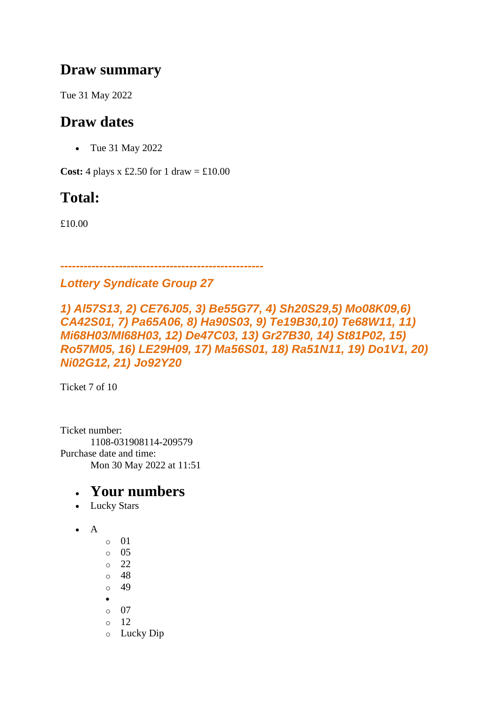### **Draw summary**

Tue 31 May 2022

## **Draw dates**

• Tue 31 May 2022

**Cost:** 4 plays x £2.50 for 1 draw =  $\text{\textsterling}10.00$ 

# **Total:**

£10.00

*----------------------------------------------------*

#### *Lottery Syndicate Group 27*

*1) Al57S13, 2) CE76J05, 3) Be55G77, 4) Sh20S29,5) Mo08K09,6) CA42S01, 7) Pa65A06, 8) Ha90S03, 9) Te19B30,10) Te68W11, 11) Mi68H03/MI68H03, 12) De47C03, 13) Gr27B30, 14) St81P02, 15) Ro57M05, 16) LE29H09, 17) Ma56S01, 18) Ra51N11, 19) Do1V1, 20) Ni02G12, 21) Jo92Y20*

Ticket 7 of 10

Ticket number: 1108-031908114-209579 Purchase date and time: Mon 30 May 2022 at 11:51

- Lucky Stars
- A
- o 01 o 05 o 22 o 48 o 49 • o 07 o 12 o Lucky Dip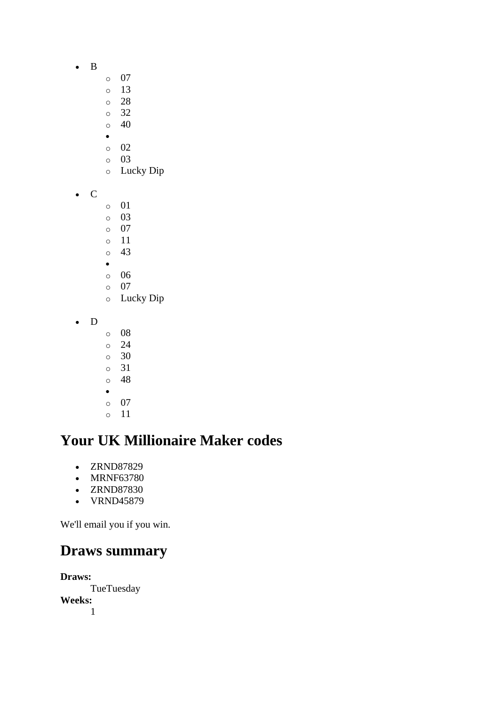- B
- o 07
- o 13
- o 28
- o 32  $\circ$  40
- •
- o 02
- o 03
- o Lucky Dip
- C
- o 01
- o 03
- o 07
- o 11 o 43
- •
- o 06
- o 07
- o Lucky Dip
- D
- o 08 o 24 o 30 o 31 o 48 •
- o 07
- o 11

- ZRND87829
- MRNF63780
- ZRND87830
- VRND45879

We'll email you if you win.

### **Draws summary**

**Draws: TueTuesday Weeks:** 1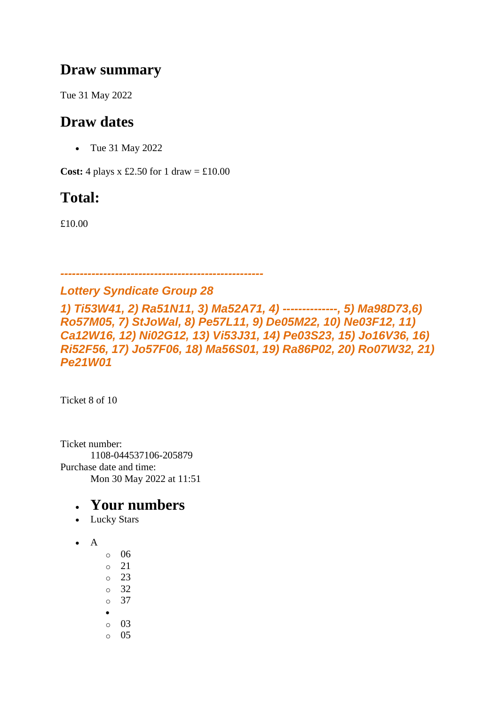### **Draw summary**

Tue 31 May 2022

## **Draw dates**

• Tue 31 May 2022

**Cost:** 4 plays x £2.50 for 1 draw =  $\text{\textsterling}10.00$ 

# **Total:**

£10.00

*----------------------------------------------------*

#### *Lottery Syndicate Group 28*

*1) Ti53W41, 2) Ra51N11, 3) Ma52A71, 4) --------------, 5) Ma98D73,6) Ro57M05, 7) StJoWal, 8) Pe57L11, 9) De05M22, 10) Ne03F12, 11) Ca12W16, 12) Ni02G12, 13) Vi53J31, 14) Pe03S23, 15) Jo16V36, 16) Ri52F56, 17) Jo57F06, 18) Ma56S01, 19) Ra86P02, 20) Ro07W32, 21) Pe21W01*

Ticket 8 of 10

Ticket number: 1108-044537106-205879 Purchase date and time: Mon 30 May 2022 at 11:51

- Lucky Stars
- $\bullet$  A
- o 06
- o 21
- o 23
- o 32
- o 37
- •
- o 03  $\circ$  05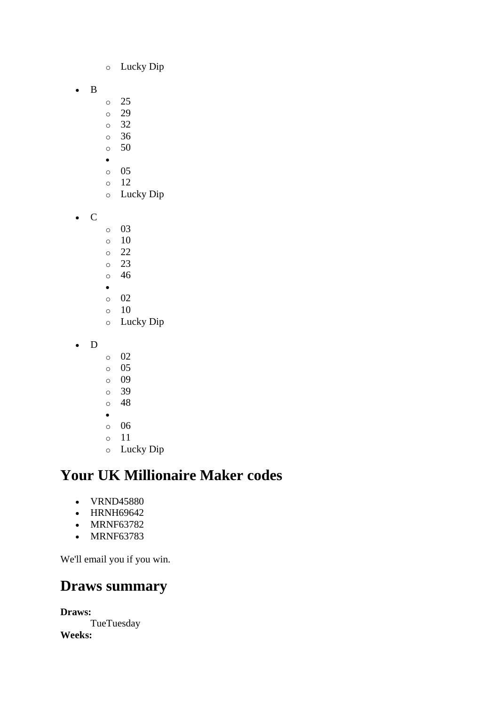- o Lucky Dip
- B
- o 25
- o 29
- o 32
- o 36  $\circ$  50
- •
- o 05
- o 12
- o Lucky Dip
- C
- o 03
- o 10
- o 22
- o 23 o 46
- •
- o 02
- $\circ$  10
- o Lucky Dip
- D
- o 02
- o 05
- o 09
- o 39
- o 48
- •
- o 06
- o 11 o Lucky Dip

- VRND45880
- HRNH69642
- MRNF63782
- MRNF63783

We'll email you if you win.

### **Draws summary**

**Draws:** TueTuesday **Weeks:**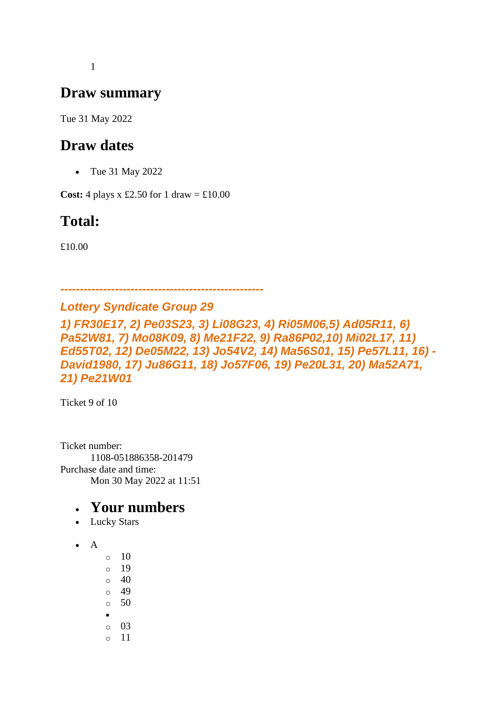1

### **Draw summary**

Tue 31 May 2022

### **Draw dates**

• Tue 31 May 2022

**Cost:** 4 plays x £2.50 for 1 draw =  $\text{\pounds}10.00$ 

# **Total:**

£10.00

*---------------------------------------------------- Lottery Syndicate Group 29*

*1) FR30E17, 2) Pe03S23, 3) Li08G23, 4) Ri05M06,5) Ad05R11, 6) Pa52W81, 7) Mo08K09, 8) Me21F22, 9) Ra86P02,10) Mi02L17, 11) Ed55T02, 12) De05M22, 13) Jo54V2, 14) Ma56S01, 15) Pe57L11, 16) - David1980, 17) Ju86G11, 18) Jo57F06, 19) Pe20L31, 20) Ma52A71, 21) Pe21W01*

Ticket 9 of 10

Ticket number: 1108-051886358-201479 Purchase date and time: Mon 30 May 2022 at 11:51

- Lucky Stars
- A
- $\circ$  10 o 19
- $\circ$  40
- o 49  $\circ$  50
- 
- o 03
- o 11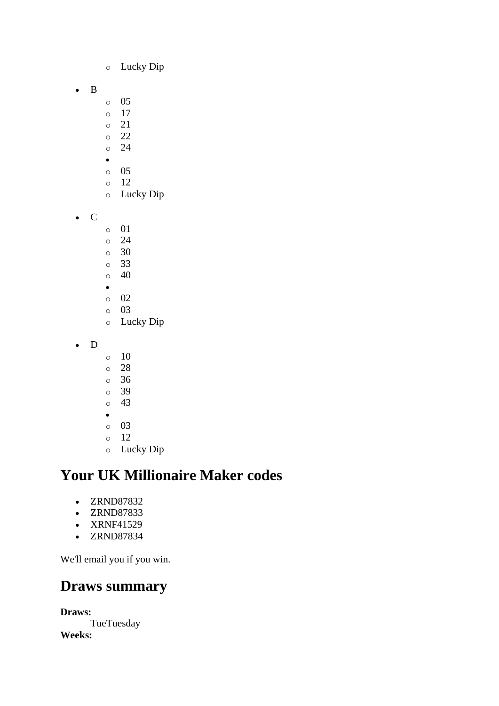- o Lucky Dip
- B
- o 05
- o 17
- o 21
- o 22 o 24
- •
- o 05
- o 12
- o Lucky Dip
- C
- o 01
- o 24
- o 30 o 33
- $\circ$  40
- •
- o 02
- o 03
- o Lucky Dip
- D
- $\circ$  10
- o 28
- o 36
- o 39
- o 43
- o 03
- o 12
- o Lucky Dip

- ZRND87832
- ZRND87833
- XRNF41529
- ZRND87834

We'll email you if you win.

### **Draws summary**

**Draws: TueTuesday Weeks:**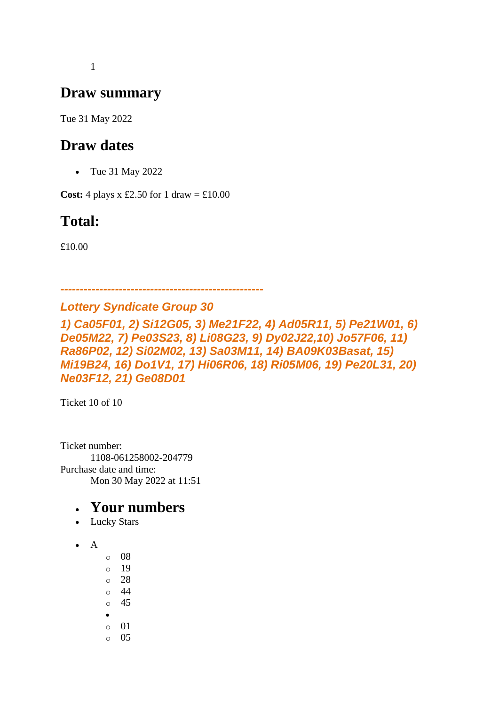1

### **Draw summary**

Tue 31 May 2022

### **Draw dates**

• Tue 31 May 2022

**Cost:** 4 plays x £2.50 for 1 draw =  $\text{\pounds}10.00$ 

# **Total:**

£10.00

*Lottery Syndicate Group 30*

*1) Ca05F01, 2) Si12G05, 3) Me21F22, 4) Ad05R11, 5) Pe21W01, 6) De05M22, 7) Pe03S23, 8) Li08G23, 9) Dy02J22,10) Jo57F06, 11) Ra86P02, 12) Si02M02, 13) Sa03M11, 14) BA09K03Basat, 15) Mi19B24, 16) Do1V1, 17) Hi06R06, 18) Ri05M06, 19) Pe20L31, 20) Ne03F12, 21) Ge08D01*

*----------------------------------------------------*

Ticket 10 of 10

Ticket number: 1108-061258002-204779 Purchase date and time: Mon 30 May 2022 at 11:51

- Lucky Stars
- A
- o 08 o 19
- o 28
- o 44
- o 45
- •
- o 01
- o 05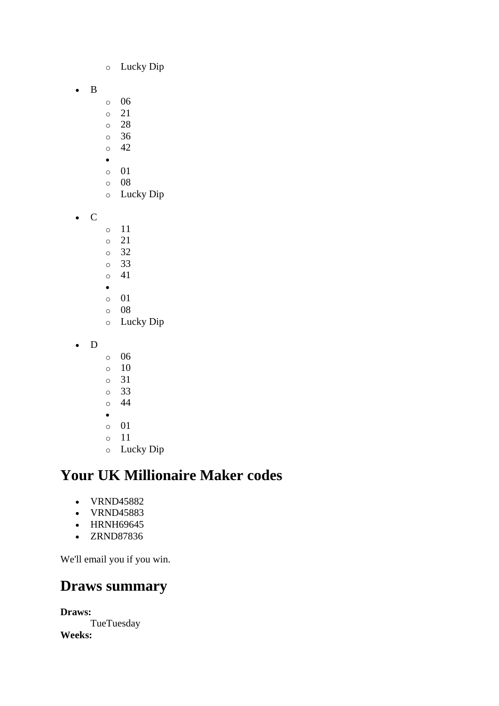- o Lucky Dip
- B
- o 06
- o 21
- o 28
- o 36  $\circ$  42
- •
- o 01
- o 08
- o Lucky Dip
- C
- o 11
- o 21
- o 32
- o 33 o 41
- •
- o 01
- o 08
- o Lucky Dip
- D
- o 06
- o 10
- o 31
- o 33
- o 44
- o 01
- o 11
- o Lucky Dip

- VRND45882
- VRND45883
- HRNH69645
- ZRND87836

We'll email you if you win.

### **Draws summary**

**Draws: TueTuesday Weeks:**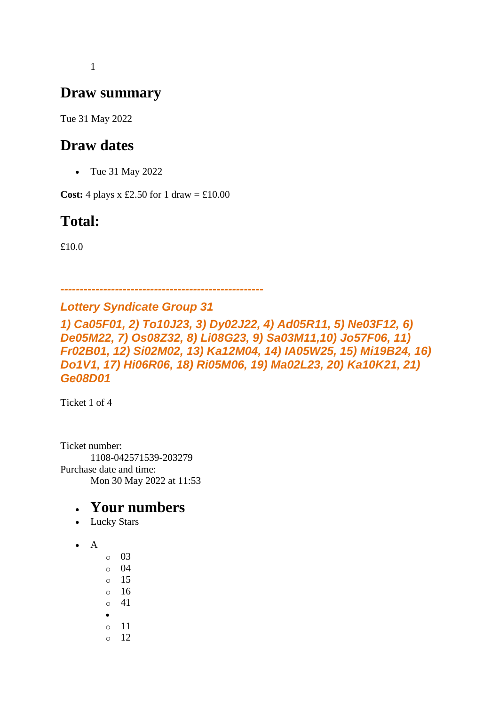1

### **Draw summary**

Tue 31 May 2022

### **Draw dates**

• Tue 31 May 2022

**Cost:** 4 plays x £2.50 for 1 draw =  $\text{\pounds}10.00$ 

# **Total:**

£10.0

*---------------------------------------------------- Lottery Syndicate Group 31*

*1) Ca05F01, 2) To10J23, 3) Dy02J22, 4) Ad05R11, 5) Ne03F12, 6) De05M22, 7) Os08Z32, 8) Li08G23, 9) Sa03M11,10) Jo57F06, 11) Fr02B01, 12) Si02M02, 13) Ka12M04, 14) IA05W25, 15) Mi19B24, 16) Do1V1, 17) Hi06R06, 18) Ri05M06, 19) Ma02L23, 20) Ka10K21, 21) Ge08D01*

Ticket 1 of 4

Ticket number: 1108-042571539-203279 Purchase date and time: Mon 30 May 2022 at 11:53

- Lucky Stars
- A
- o 03 o 04 o 15 o 16  $0 \t 41$ • o 11 o 12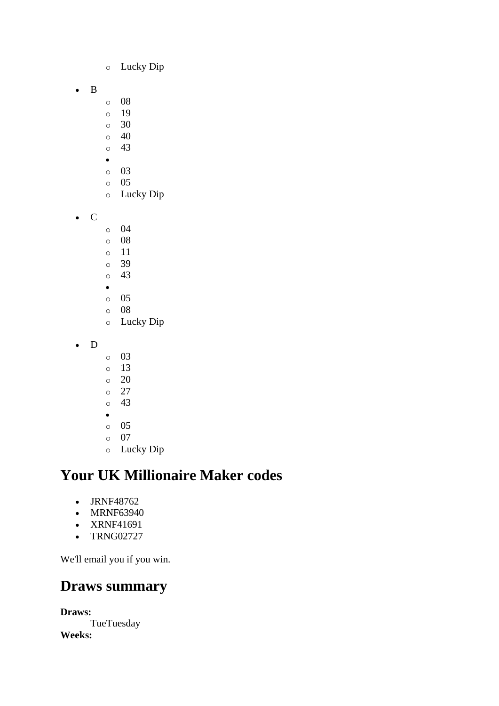- o Lucky Dip
- B
- o 08
- o 19
- $\circ$  30
- $\circ$  40 o 43
- •
- o 03
- o 05
- o Lucky Dip
- C
- o 04
- o 08
- o 11 o 39
- o 43
- •
- o 05
- o 08
- o Lucky Dip
- D
- o 03
- o 13
- o 20
- o 27
- o 43
- •
- o 05 o 07
- o Lucky Dip

- JRNF48762
- MRNF63940
- XRNF41691
- TRNG02727

We'll email you if you win.

### **Draws summary**

**Draws: TueTuesday Weeks:**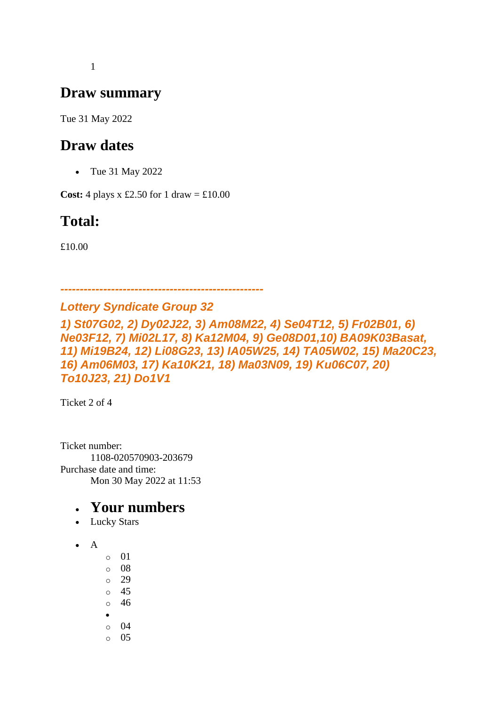1

### **Draw summary**

Tue 31 May 2022

### **Draw dates**

• Tue 31 May 2022

**Cost:** 4 plays x £2.50 for 1 draw =  $\text{\textsterling}10.00$ 

# **Total:**

£10.00

*---------------------------------------------------- Lottery Syndicate Group 32*

*1) St07G02, 2) Dy02J22, 3) Am08M22, 4) Se04T12, 5) Fr02B01, 6) Ne03F12, 7) Mi02L17, 8) Ka12M04, 9) Ge08D01,10) BA09K03Basat, 11) Mi19B24, 12) Li08G23, 13) IA05W25, 14) TA05W02, 15) Ma20C23, 16) Am06M03, 17) Ka10K21, 18) Ma03N09, 19) Ku06C07, 20) To10J23, 21) Do1V1*

Ticket 2 of 4

Ticket number: 1108-020570903-203679 Purchase date and time: Mon 30 May 2022 at 11:53

- Lucky Stars
- A
- o 01
- o 08
- o 29
- o 45
- o 46
- o 04
- o 05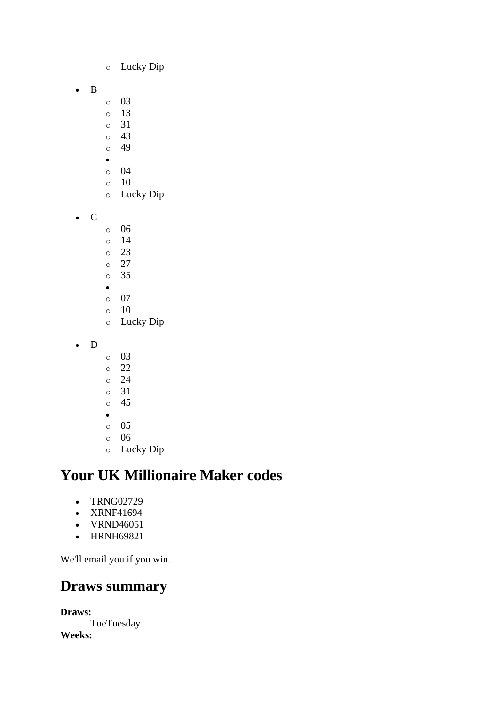- o Lucky Dip
- B
- o 03
- o 13
- o 31
- o 43 o 49
- 
- o 04
- o 10
- o Lucky Dip
- C
- o 06
- o 14
- o 23
- o 27 o 35
- •
- o 07
- $\circ$  10
- o Lucky Dip
- D
- o 03
- o 22
- o 24
- o 31
- o 45
- o 05
- o 06
- o Lucky Dip

- TRNG02729
- XRNF41694
- VRND46051
- HRNH69821

We'll email you if you win.

### **Draws summary**

**Draws: TueTuesday Weeks:**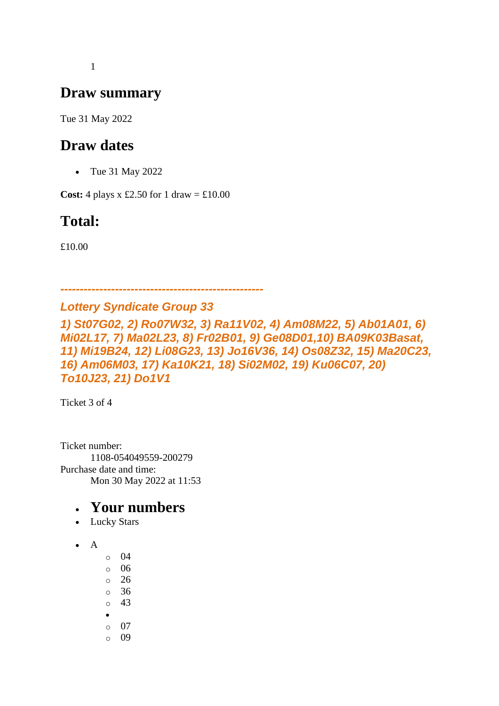1

### **Draw summary**

Tue 31 May 2022

### **Draw dates**

• Tue 31 May 2022

**Cost:** 4 plays x £2.50 for 1 draw =  $\text{\pounds}10.00$ 

# **Total:**

£10.00

*----------------------------------------------------*

#### *Lottery Syndicate Group 33 1) St07G02, 2) Ro07W32, 3) Ra11V02, 4) Am08M22, 5) Ab01A01, 6) Mi02L17, 7) Ma02L23, 8) Fr02B01, 9) Ge08D01,10) BA09K03Basat, 11) Mi19B24, 12) Li08G23, 13) Jo16V36, 14) Os08Z32, 15) Ma20C23, 16) Am06M03, 17) Ka10K21, 18) Si02M02, 19) Ku06C07, 20) To10J23, 21) Do1V1*

Ticket 3 of 4

Ticket number: 1108-054049559-200279 Purchase date and time: Mon 30 May 2022 at 11:53

- Lucky Stars
- A
- o 04
- o 06
- $\circ$  26
- o 36
- o 43
- •
- o 07 o 09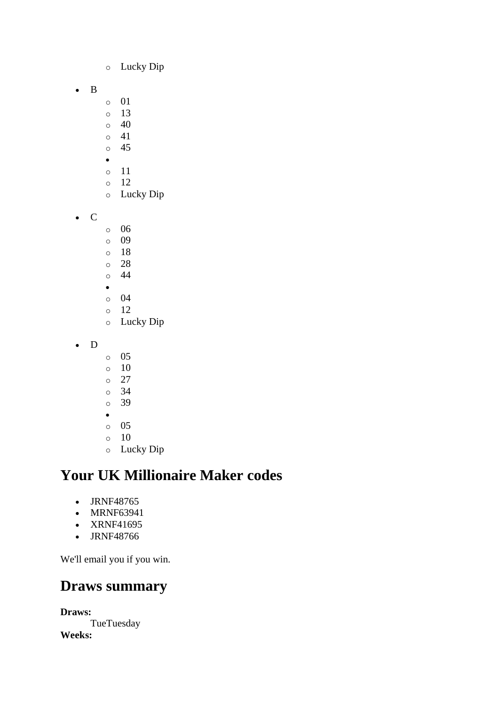- o Lucky Dip
- B
- o 01
- o 13
- $\circ$  40
- o 41 o 45
- •
- o 11
- o 12
- o Lucky Dip
- C
- o 06
- o 09
- o 18
- o 28 o 44
- •
- o 04
- o 12
- o Lucky Dip
- D
- o 05
- o 10
- o 27
- o 34
- o 39
- o 05
- $\circ$  10
- o Lucky Dip

- JRNF48765
- MRNF63941
- XRNF41695
- JRNF48766

We'll email you if you win.

# **Draws summary**

**Draws: TueTuesday Weeks:**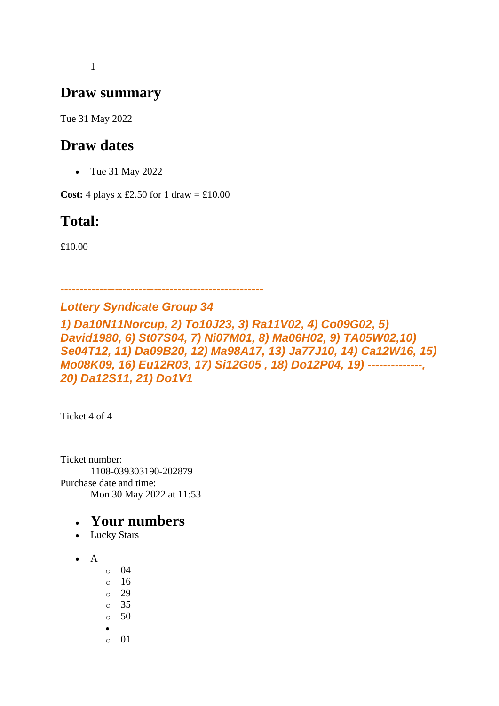1

### **Draw summary**

Tue 31 May 2022

### **Draw dates**

• Tue 31 May 2022

**Cost:** 4 plays x £2.50 for 1 draw =  $\text{\pounds}10.00$ 

# **Total:**

£10.00

*Lottery Syndicate Group 34*

*----------------------------------------------------*

*1) Da10N11Norcup, 2) To10J23, 3) Ra11V02, 4) Co09G02, 5) David1980, 6) St07S04, 7) Ni07M01, 8) Ma06H02, 9) TA05W02,10) Se04T12, 11) Da09B20, 12) Ma98A17, 13) Ja77J10, 14) Ca12W16, 15) Mo08K09, 16) Eu12R03, 17) Si12G05 , 18) Do12P04, 19) --------------, 20) Da12S11, 21) Do1V1*

Ticket 4 of 4

Ticket number: 1108-039303190-202879 Purchase date and time: Mon 30 May 2022 at 11:53

- Lucky Stars
- A
- o 04
- o 16
- o 29
- $\circ$  35
- $\circ$  50
- •
- $\circ$  01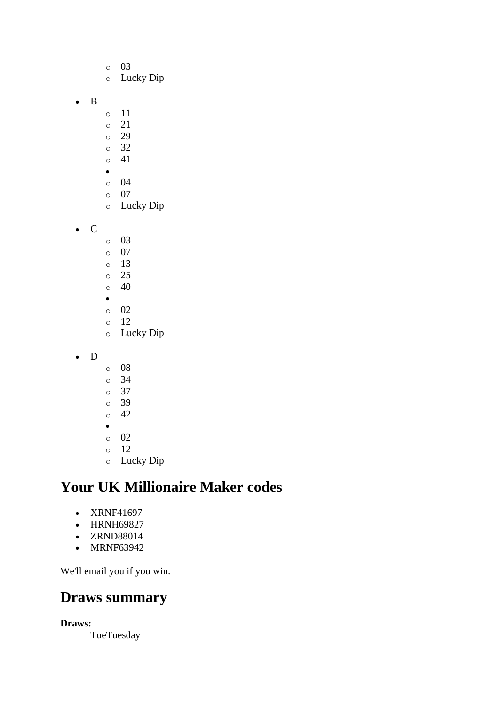o 03 o Lucky Dip o 11 o 21 o 29 o 32 o 41 • o 04 o 07 o Lucky Dip • C o 03 o 07 o 13 o 25  $\circ$  40 • o 02 o 12 o Lucky Dip

• D

• B

- o 08 o 34 o 37
- o 39  $\circ$  42
- •
- o 02
- o 12
- o Lucky Dip

# **Your UK Millionaire Maker codes**

- XRNF41697
- HRNH69827
- ZRND88014
- MRNF63942

We'll email you if you win.

### **Draws summary**

**Draws:**

**TueTuesday**